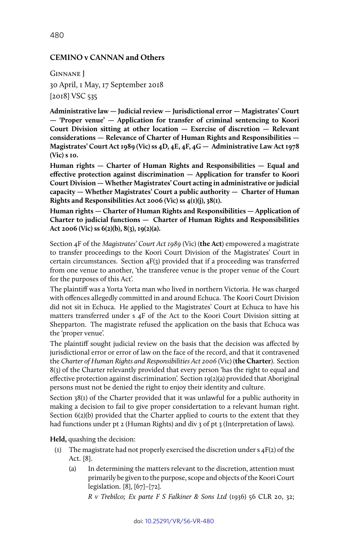### **CEMINO v CANNAN and Others**

Ginnane J 30 April, 1 May, 17 September 2018 [2018] VSC 535

**Administrative law — Judicial review — Jurisdictional error — Magistrates' Court — 'Proper venue' — Application for transfer of criminal sentencing to Koori Court Division sitting at other location — Exercise of discretion — Relevant considerations — Relevance of Charter of Human Rights and Responsibilities — Magistrates' Court Act 1989 (Vic) ss 4D, 4E, 4F, 4G — Administrative Law Act 1978 (Vic) s 10.**

**Human rights — Charter of Human Rights and Responsibilities — Equal and effective protection against discrimination — Application for transfer to Koori Court Division — Whether Magistrates' Court acting in administrative or judicial capacity — Whether Magistrates' Court a public authority — Charter of Human Rights and Responsibilities Act 2006 (Vic) ss 4(1)(j), 38(1).**

**Human rights — Charter of Human Rights and Responsibilities — Application of Charter to judicial functions — Charter of Human Rights and Responsibilities Act 2006 (Vic) ss 6(2)(b), 8(3), 19(2)(a).**

Section 4F of the *Magistrates' Court Act 1989* (Vic) (**the Act**) empowered a magistrate to transfer proceedings to the Koori Court Division of the Magistrates' Court in certain circumstances. Section 4F(3) provided that if a proceeding was transferred from one venue to another, 'the transferee venue is the proper venue of the Court for the purposes of this Act'.

The plaintiff was a Yorta Yorta man who lived in northern Victoria. He was charged with offences allegedly committed in and around Echuca. The Koori Court Division did not sit in Echuca. He applied to the Magistrates' Court at Echuca to have his matters transferred under s 4F of the Act to the Koori Court Division sitting at Shepparton. The magistrate refused the application on the basis that Echuca was the 'proper venue'.

The plaintiff sought judicial review on the basis that the decision was affected by jurisdictional error or error of law on the face of the record, and that it contravened the *Charter of Human Rights and Responsibilities Act 2006* (Vic) (**the Charter**). Section 8(3) of the Charter relevantly provided that every person 'has the right to equal and effective protection against discrimination'. Section 19(2)(a) provided that Aboriginal persons must not be denied the right to enjoy their identity and culture.

Section 38(1) of the Charter provided that it was unlawful for a public authority in making a decision to fail to give proper considertation to a relevant human right. Section 6(2)(b) provided that the Charter applied to courts to the extent that they had functions under pt 2 (Human Rights) and div 3 of pt 3 (Interpretation of laws).

**Held,** quashing the decision:

- (1) The magistrate had not properly exercised the discretion under  $s$  4F(2) of the Act. [8].
	- (a) In determining the matters relevant to the discretion, attention must primarily be given to the purpose, scope and objects of the Koori Court legislation. [8], [67]–[72].

*R v Trebilco; Ex parte F S Falkiner & Sons Ltd* (1936) 56 CLR 20, 32;

480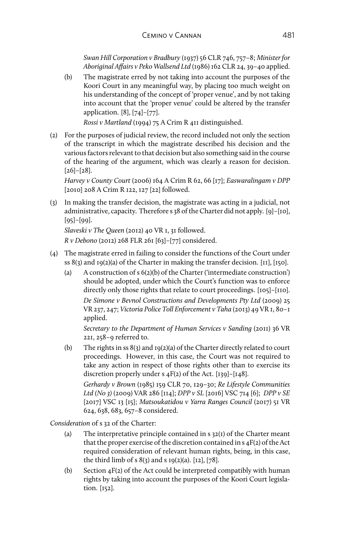*Swan Hill Corporation v Bradbury* (1937) 56 CLR 746, 757–8; *Minister for Aboriginal Affairs v Peko Wallsend Ltd* (1986) 162 CLR 24, 39–40 applied.

(b) The magistrate erred by not taking into account the purposes of the Koori Court in any meaningful way, by placing too much weight on his understanding of the concept of 'proper venue', and by not taking into account that the 'proper venue' could be altered by the transfer application. [8], [74]–[77].

*Rossi v Martland* (1994) 75 A Crim R 411 distinguished.

(2) For the purposes of judicial review, the record included not only the section of the transcript in which the magistrate described his decision and the various factors relevant to that decision but also something said in the course of the hearing of the argument, which was clearly a reason for decision. [26]–[28].

*Harvey v County Court* (2006) 164 A Crim R 62, 66 [17]; *Easwaralingam v DPP* [2010] 208 A Crim R 122, 127 [22] followed.

(3) In making the transfer decision, the magistrate was acting in a judicial, not administrative, capacity. Therefore s 38 of the Charter did not apply. [9]–[10], [95]–[99].

*Slaveski v The Queen* (2012) 40 VR 1, 31 followed.

*R v Debono* (2012) 268 FLR 261 [63]–[77] considered.

- (4) The magistrate erred in failing to consider the functions of the Court under ss  $8(3)$  and  $19(2)(a)$  of the Charter in making the transfer decision. [11], [150].
	- (a) A construction of s 6(2)(b) of the Charter ('intermediate construction') should be adopted, under which the Court's function was to enforce directly only those rights that relate to court proceedings. [105]–[110]. *De Simone v Bevnol Constructions and Developments Pty Ltd* (2009) 25 VR 237, 247; *Victoria Police Toll Enforcement v Taha* (2013) 49 VR 1, 80–1

applied. *Secretary to the Department of Human Services v Sanding* (2011) 36 VR 221, 258–9 referred to.

(b) The rights in ss 8(3) and 19(2)(a) of the Charter directly related to court proceedings. However, in this case, the Court was not required to take any action in respect of those rights other than to exercise its discretion properly under s 4F(2) of the Act. [139]–[148].

*Gerhardy v Brown* (1985) 159 CLR 70, 129–30; *Re Lifestyle Communities Ltd (No 3)* (2009) VAR 286 [114]; *DPP v SL* [2016] VSC 714 [6]; *DPP v SE* [2017] VSC 13 [15]; *Matsoukatidou v Yarra Ranges Council* (2017) 51 VR 624, 638, 683, 657–8 considered.

*Consideration* of s 32 of the Charter:

- (a) The interpretative principle contained in  $s$  32(1) of the Charter meant that the proper exercise of the discretion contained in s 4F(2) of the Act required consideration of relevant human rights, being, in this case, the third limb of s  $8(3)$  and s  $19(2)(a)$ . [12], [78].
- (b) Section  $4F(2)$  of the Act could be interpreted compatibly with human rights by taking into account the purposes of the Koori Court legislation. [152].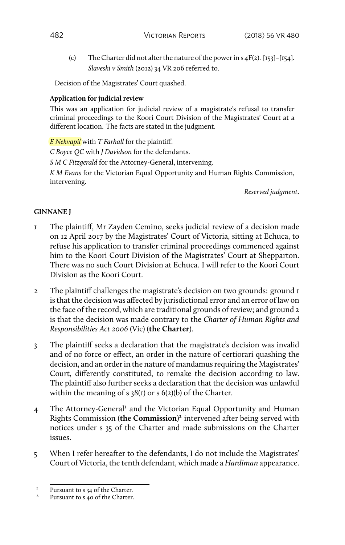(c) The Charter did not alter the nature of the power in  $s$  4F(2). [153]–[154]. *Slaveski v Smith* (2012) 34 VR 206 referred to.

Decision of the Magistrates' Court quashed.

### **Application for judicial review**

This was an application for judicial review of a magistrate's refusal to transfer criminal proceedings to the Koori Court Division of the Magistrates' Court at a different location. The facts are stated in the judgment.

*E Nekvapil* with *T Farhall* for the plaintiff.

*C Boyce QC* with *J Davidson* for the defendants.

*S M C Fitzgerald* for the Attorney-General, intervening.

*K M Evans* for the Victorian Equal Opportunity and Human Rights Commission, intervening.

*Reserved judgment*.

## **GINNANE J**

- 1 The plaintiff, Mr Zayden Cemino, seeks judicial review of a decision made on 12 April 2017 by the Magistrates' Court of Victoria, sitting at Echuca, to refuse his application to transfer criminal proceedings commenced against him to the Koori Court Division of the Magistrates' Court at Shepparton. There was no such Court Division at Echuca. I will refer to the Koori Court Division as the Koori Court.
- 2 The plaintiff challenges the magistrate's decision on two grounds: ground 1 is that the decision was affected by jurisdictional error and an error of law on the face of the record, which are traditional grounds of review; and ground 2 is that the decision was made contrary to the *Charter of Human Rights and Responsibilities Act 2006* (Vic) (**the Charter**).
- 3 The plaintiff seeks a declaration that the magistrate's decision was invalid and of no force or effect, an order in the nature of certiorari quashing the decision, and an order in the nature of mandamus requiring the Magistrates' Court, differently constituted, to remake the decision according to law. The plaintiff also further seeks a declaration that the decision was unlawful within the meaning of s 38(1) or s 6(2)(b) of the Charter.
- 4 The Attorney-General<sup>1</sup> and the Victorian Equal Opportunity and Human Rights Commission (**the Commission**) 2 intervened after being served with notices under s 35 of the Charter and made submissions on the Charter issues.
- 5 When I refer hereafter to the defendants, I do not include the Magistrates' Court of Victoria, the tenth defendant, which made a *Hardiman* appearance.

<sup>&</sup>lt;sup>1</sup> Pursuant to s 34 of the Charter.<br><sup>2</sup> Pursuant to s 40 of the Charter.

Pursuant to s 40 of the Charter.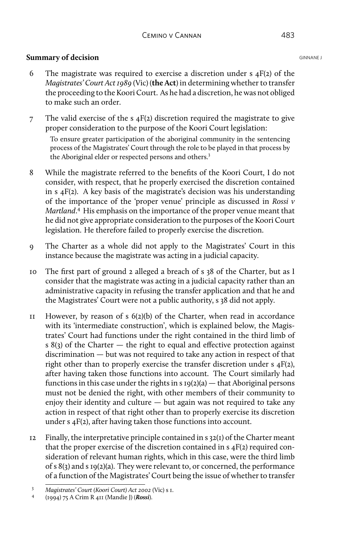### **Summary of decision** GINNANE J

- 6 The magistrate was required to exercise a discretion under  $s$  4F(2) of the *Magistrates' Court Act 1989* (Vic) (**the Act**) in determining whether to transfer the proceeding to the Koori Court. As he had a discretion, he was not obliged to make such an order.
- 7 The valid exercise of the s  $4F(2)$  discretion required the magistrate to give proper consideration to the purpose of the Koori Court legislation:

To ensure greater participation of the aboriginal community in the sentencing process of the Magistrates' Court through the role to be played in that process by the Aboriginal elder or respected persons and others.<sup>3</sup>

- 8 While the magistrate referred to the benefits of the Koori Court, I do not consider, with respect, that he properly exercised the discretion contained in s 4F(2). A key basis of the magistrate's decision was his understanding of the importance of the 'proper venue' principle as discussed in *Rossi v Martland*. 4 His emphasis on the importance of the proper venue meant that he did not give appropriate consideration to the purposes of the Koori Court legislation. He therefore failed to properly exercise the discretion.
- 9 The Charter as a whole did not apply to the Magistrates' Court in this instance because the magistrate was acting in a judicial capacity.
- 10 The first part of ground 2 alleged a breach of s 38 of the Charter, but as I consider that the magistrate was acting in a judicial capacity rather than an administrative capacity in refusing the transfer application and that he and the Magistrates' Court were not a public authority, s 38 did not apply.
- 11 However, by reason of s 6(2)(b) of the Charter, when read in accordance with its 'intermediate construction', which is explained below, the Magistrates' Court had functions under the right contained in the third limb of s 8(3) of the Charter  $-$  the right to equal and effective protection against discrimination — but was not required to take any action in respect of that right other than to properly exercise the transfer discretion under s 4F(2), after having taken those functions into account. The Court similarly had functions in this case under the rights in s  $19(2)(a)$  — that Aboriginal persons must not be denied the right, with other members of their community to enjoy their identity and culture — but again was not required to take any action in respect of that right other than to properly exercise its discretion under s 4F(2), after having taken those functions into account.
- 12 Finally, the interpretative principle contained in  $s$  32(1) of the Charter meant that the proper exercise of the discretion contained in s 4F(2) required consideration of relevant human rights, which in this case, were the third limb of s 8(3) and s 19(2)(a). They were relevant to, or concerned, the performance of a function of the Magistrates' Court being the issue of whether to transfer

<sup>3</sup> *Magistrates' Court (Koori Court) Act 2002* (Vic) s 1.

<sup>4</sup> (1994) 75 A Crim R 411 (Mandie J) (*Rossi*).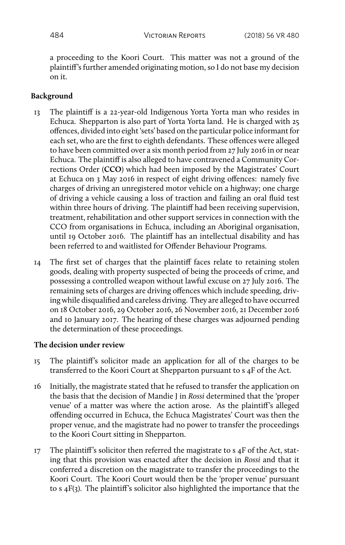a proceeding to the Koori Court. This matter was not a ground of the plaintiff's further amended originating motion, so I do not base my decision on it.

# **Background**

- 13 The plaintiff is a 22-year-old Indigenous Yorta Yorta man who resides in Echuca. Shepparton is also part of Yorta Yorta land. He is charged with 25 offences, divided into eight 'sets' based on the particular police informant for each set, who are the first to eighth defendants. These offences were alleged to have been committed over a six month period from 27 July 2016 in or near Echuca. The plaintiff is also alleged to have contravened a Community Corrections Order (**CCO**) which had been imposed by the Magistrates' Court at Echuca on 3 May 2016 in respect of eight driving offences: namely five charges of driving an unregistered motor vehicle on a highway; one charge of driving a vehicle causing a loss of traction and failing an oral fluid test within three hours of driving. The plaintiff had been receiving supervision, treatment, rehabilitation and other support services in connection with the CCO from organisations in Echuca, including an Aboriginal organisation, until 19 October 2016. The plaintiff has an intellectual disability and has been referred to and waitlisted for Offender Behaviour Programs.
- 14 The first set of charges that the plaintiff faces relate to retaining stolen goods, dealing with property suspected of being the proceeds of crime, and possessing a controlled weapon without lawful excuse on 27 July 2016. The remaining sets of charges are driving offences which include speeding, driving while disqualified and careless driving. They are alleged to have occurred on 18 October 2016, 29 October 2016, 26 November 2016, 21 December 2016 and 10 January 2017. The hearing of these charges was adjourned pending the determination of these proceedings.

## **The decision under review**

- 15 The plaintiff's solicitor made an application for all of the charges to be transferred to the Koori Court at Shepparton pursuant to s 4F of the Act.
- 16 Initially, the magistrate stated that he refused to transfer the application on the basis that the decision of Mandie J in *Rossi* determined that the 'proper venue' of a matter was where the action arose. As the plaintiff's alleged offending occurred in Echuca, the Echuca Magistrates' Court was then the proper venue, and the magistrate had no power to transfer the proceedings to the Koori Court sitting in Shepparton.
- $17$  The plaintiff's solicitor then referred the magistrate to s  $4F$  of the Act, stating that this provision was enacted after the decision in *Rossi* and that it conferred a discretion on the magistrate to transfer the proceedings to the Koori Court. The Koori Court would then be the 'proper venue' pursuant to s 4F(3). The plaintiff's solicitor also highlighted the importance that the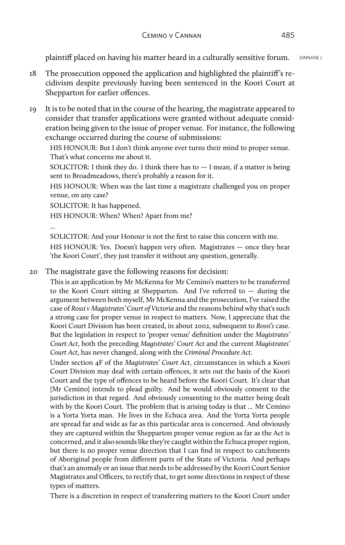plaintiff placed on having his matter heard in a culturally sensitive forum. GINNANE J

- 18 The prosecution opposed the application and highlighted the plaintiff's recidivism despite previously having been sentenced in the Koori Court at Shepparton for earlier offences.
- 19 It is to be noted that in the course of the hearing, the magistrate appeared to consider that transfer applications were granted without adequate consideration being given to the issue of proper venue. For instance, the following exchange occurred during the course of submissions:

HIS HONOUR: But I don't think anyone ever turns their mind to proper venue. That's what concerns me about it.

SOLICITOR: I think they do. I think there has to — I mean, if a matter is being sent to Broadmeadows, there's probably a reason for it.

HIS HONOUR: When was the last time a magistrate challenged you on proper venue, on any case?

SOLICITOR: It has happened.

HIS HONOUR: When? When? Apart from me?

...

SOLICITOR: And your Honour is not the first to raise this concern with me. HIS HONOUR: Yes. Doesn't happen very often. Magistrates — once they hear 'the Koori Court', they just transfer it without any question, generally.

20 The magistrate gave the following reasons for decision:

This is an application by Mr McKenna for Mr Cemino's matters to be transferred to the Koori Court sitting at Shepparton. And I've referred to — during the argument between both myself, Mr McKenna and the prosecution, I've raised the case of *Rossi v Magistrates' Court of Victoria* and the reasons behind why that's such a strong case for proper venue in respect to matters. Now, I appreciate that the Koori Court Division has been created, in about 2002, subsequent to *Rossi's* case. But the legislation in respect to 'proper venue' definition under the *Magistrates' Court Act*, both the preceding *Magistrates' Court Act* and the current *Magistrates' Court Act*, has never changed, along with the *Criminal Procedure Act*.

Under section 4F of the *Magistrates' Court Act*, circumstances in which a Koori Court Division may deal with certain offences, it sets out the basis of the Koori Court and the type of offences to be heard before the Koori Court. It's clear that [Mr Cemino] intends to plead guilty. And he would obviously consent to the jurisdiction in that regard. And obviously consenting to the matter being dealt with by the Koori Court. The problem that is arising today is that ... Mr Cemino is a Yorta Yorta man. He lives in the Echuca area. And the Yorta Yorta people are spread far and wide as far as this particular area is concerned. And obviously they are captured within the Shepparton proper venue region as far as the Act is concerned, and it also sounds like they're caught within the Echuca proper region, but there is no proper venue direction that I can find in respect to catchments of Aboriginal people from different parts of the State of Victoria. And perhaps that's an anomaly or an issue that needs to be addressed by the Koori Court Senior Magistrates and Officers, to rectify that, to get some directions in respect of these types of matters.

There is a discretion in respect of transferring matters to the Koori Court under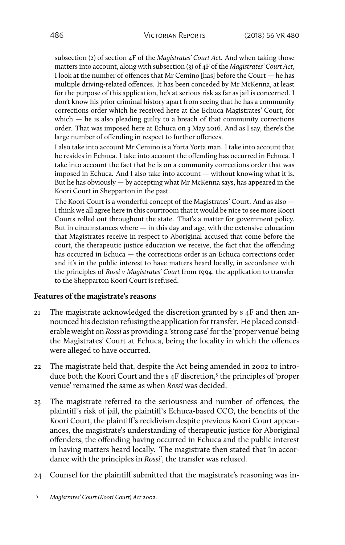subsection (2) of section 4F of the *Magistrates' Court Act*. And when taking those matters into account, along with subsection (3) of 4F of the *Magistrates' Court Act*, I look at the number of offences that Mr Cemino [has] before the Court — he has multiple driving-related offences. It has been conceded by Mr McKenna, at least for the purpose of this application, he's at serious risk as far as jail is concerned. I don't know his prior criminal history apart from seeing that he has a community corrections order which he received here at the Echuca Magistrates' Court, for which  $-$  he is also pleading guilty to a breach of that community corrections order. That was imposed here at Echuca on 3 May 2016. And as I say, there's the large number of offending in respect to further offences.

I also take into account Mr Cemino is a Yorta Yorta man. I take into account that he resides in Echuca. I take into account the offending has occurred in Echuca. I take into account the fact that he is on a community corrections order that was imposed in Echuca. And I also take into account — without knowing what it is. But he has obviously — by accepting what Mr McKenna says, has appeared in the Koori Court in Shepparton in the past.

The Koori Court is a wonderful concept of the Magistrates' Court. And as also — I think we all agree here in this courtroom that it would be nice to see more Koori Courts rolled out throughout the state. That's a matter for government policy. But in circumstances where  $-$  in this day and age, with the extensive education that Magistrates receive in respect to Aboriginal accused that come before the court, the therapeutic justice education we receive, the fact that the offending has occurred in Echuca — the corrections order is an Echuca corrections order and it's in the public interest to have matters heard locally, in accordance with the principles of *Rossi v Magistrates' Court* from 1994, the application to transfer to the Shepparton Koori Court is refused.

#### **Features of the magistrate's reasons**

- 21 The magistrate acknowledged the discretion granted by s 4F and then announced his decision refusing the application for transfer. He placed considerable weight on *Rossi* as providing a 'strong case' for the 'proper venue' being the Magistrates' Court at Echuca, being the locality in which the offences were alleged to have occurred.
- 22 The magistrate held that, despite the Act being amended in 2002 to introduce both the Koori Court and the s 4F discretion,<sup>5</sup> the principles of 'proper venue' remained the same as when *Rossi* was decided.
- 23 The magistrate referred to the seriousness and number of offences, the plaintiff's risk of jail, the plaintiff's Echuca-based CCO, the benefits of the Koori Court, the plaintiff's recidivism despite previous Koori Court appearances, the magistrate's understanding of therapeutic justice for Aboriginal offenders, the offending having occurred in Echuca and the public interest in having matters heard locally. The magistrate then stated that 'in accordance with the principles in *Rossi*', the transfer was refused.
- 24 Counsel for the plaintiff submitted that the magistrate's reasoning was in-

<sup>5</sup> *Magistrates' Court (Koori Court) Act 2002*.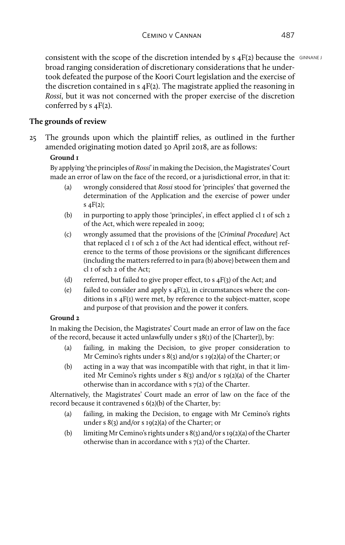consistent with the scope of the discretion intended by  $s$   $4F(z)$  because the GINNANE J broad ranging consideration of discretionary considerations that he undertook defeated the purpose of the Koori Court legislation and the exercise of the discretion contained in  $s$   $4F(2)$ . The magistrate applied the reasoning in *Rossi*, but it was not concerned with the proper exercise of the discretion conferred by s 4F(2).

# **The grounds of review**

25 The grounds upon which the plaintiff relies, as outlined in the further amended originating motion dated 30 April 2018, are as follows:

# **Ground 1**

By applying 'the principles of *Rossi*' in making the Decision, the Magistrates' Court made an error of law on the face of the record, or a jurisdictional error, in that it:

- (a) wrongly considered that *Rossi* stood for 'principles' that governed the determination of the Application and the exercise of power under s  $4F(2)$ ;
- (b) in purporting to apply those 'principles', in effect applied cl  $\bar{1}$  of sch  $\bar{2}$ of the Act, which were repealed in 2009;
- (c) wrongly assumed that the provisions of the [*Criminal Procedure*] Act that replaced cl 1 of sch 2 of the Act had identical effect, without reference to the terms of those provisions or the significant differences (including the matters referred to in para (b) above) between them and cl 1 of sch 2 of the Act;
- (d) referred, but failed to give proper effect, to  $s$  4F(3) of the Act; and
- (e) failed to consider and apply  $s$   $4F(2)$ , in circumstances where the conditions in s 4F(1) were met, by reference to the subject-matter, scope and purpose of that provision and the power it confers.

## **Ground 2**

In making the Decision, the Magistrates' Court made an error of law on the face of the record, because it acted unlawfully under s 38(1) of the [Charter]), by:

- (a) failing, in making the Decision, to give proper consideration to Mr Cemino's rights under s 8(3) and/or s 19(2)(a) of the Charter; or
- (b) acting in a way that was incompatible with that right, in that it limited Mr Cemino's rights under s 8(3) and/or s 19(2)(a) of the Charter otherwise than in accordance with s 7(2) of the Charter.

Alternatively, the Magistrates' Court made an error of law on the face of the record because it contravened s 6(2)(b) of the Charter, by:

- (a) failing, in making the Decision, to engage with Mr Cemino's rights under s 8(3) and/or s 19(2)(a) of the Charter; or
- (b) limiting Mr Cemino's rights under s  $8(3)$  and/or s 19(2)(a) of the Charter otherwise than in accordance with s 7(2) of the Charter.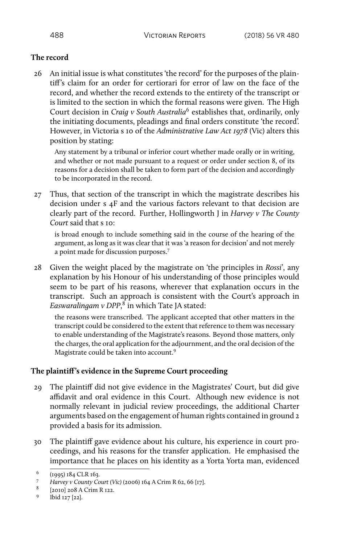# **The record**

26 An initial issue is what constitutes 'the record' for the purposes of the plaintiff's claim for an order for certiorari for error of law on the face of the record, and whether the record extends to the entirety of the transcript or is limited to the section in which the formal reasons were given. The High Court decision in *Craig v South Australia*6 establishes that, ordinarily, only the initiating documents, pleadings and final orders constitute 'the record'. However, in Victoria s 10 of the *Administrative Law Act 1978* (Vic) alters this position by stating:

Any statement by a tribunal or inferior court whether made orally or in writing, and whether or not made pursuant to a request or order under section 8, of its reasons for a decision shall be taken to form part of the decision and accordingly to be incorporated in the record.

27 Thus, that section of the transcript in which the magistrate describes his decision under s 4F and the various factors relevant to that decision are clearly part of the record. Further, Hollingworth J in *Harvey v The County Court* said that s 10:

is broad enough to include something said in the course of the hearing of the argument, as long as it was clear that it was 'a reason for decision' and not merely a point made for discussion purposes.7

28 Given the weight placed by the magistrate on 'the principles in *Rossi*', any explanation by his Honour of his understanding of those principles would seem to be part of his reasons, wherever that explanation occurs in the transcript. Such an approach is consistent with the Court's approach in *Easwaralingam v DPP*, 8 in which Tate JA stated:

the reasons were transcribed. The applicant accepted that other matters in the transcript could be considered to the extent that reference to them was necessary to enable understanding of the Magistrate's reasons. Beyond those matters, only the charges, the oral application for the adjournment, and the oral decision of the Magistrate could be taken into account.<sup>9</sup>

## **The plaintiff's evidence in the Supreme Court proceeding**

- 29 The plaintiff did not give evidence in the Magistrates' Court, but did give affidavit and oral evidence in this Court. Although new evidence is not normally relevant in judicial review proceedings, the additional Charter arguments based on the engagement of human rights contained in ground 2 provided a basis for its admission.
- 30 The plaintiff gave evidence about his culture, his experience in court proceedings, and his reasons for the transfer application. He emphasised the importance that he places on his identity as a Yorta Yorta man, evidenced

<sup>6</sup> (1995) 184 CLR 163.

<sup>7</sup> *Harvey v County Court (Vic)* (2006) 164 A Crim R 62, 66 [17].

<sup>8</sup> [2010] 208 A Crim R 122.

<sup>9</sup> Ibid 127 [22].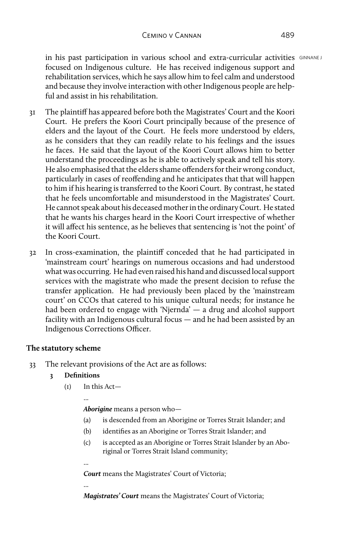in his past participation in various school and extra-curricular activities GINNANE J focused on Indigenous culture. He has received indigenous support and rehabilitation services, which he says allow him to feel calm and understood and because they involve interaction with other Indigenous people are helpful and assist in his rehabilitation.

- 31 The plaintiff has appeared before both the Magistrates' Court and the Koori Court. He prefers the Koori Court principally because of the presence of elders and the layout of the Court. He feels more understood by elders, as he considers that they can readily relate to his feelings and the issues he faces. He said that the layout of the Koori Court allows him to better understand the proceedings as he is able to actively speak and tell his story. He also emphasised that the elders shame offenders for their wrong conduct, particularly in cases of reoffending and he anticipates that that will happen to him if his hearing is transferred to the Koori Court. By contrast, he stated that he feels uncomfortable and misunderstood in the Magistrates' Court. He cannot speak about his deceased mother in the ordinary Court. He stated that he wants his charges heard in the Koori Court irrespective of whether it will affect his sentence, as he believes that sentencing is 'not the point' of the Koori Court.
- 32 In cross-examination, the plaintiff conceded that he had participated in 'mainstream court' hearings on numerous occasions and had understood what was occurring. He had even raised his hand and discussed local support services with the magistrate who made the present decision to refuse the transfer application. He had previously been placed by the 'mainstream court' on CCOs that catered to his unique cultural needs; for instance he had been ordered to engage with 'Njernda' — a drug and alcohol support facility with an Indigenous cultural focus — and he had been assisted by an Indigenous Corrections Officer.

## **The statutory scheme**

33 The relevant provisions of the Act are as follows:

## **3 Definitions**

(1) In this Act—

...

...

...

*Aborigine* means a person who—

- (a) is descended from an Aborigine or Torres Strait Islander; and
- (b) identifies as an Aborigine or Torres Strait Islander; and
- (c) is accepted as an Aborigine or Torres Strait Islander by an Aboriginal or Torres Strait Island community;

*Court* means the Magistrates' Court of Victoria;

*Magistrates' Court* means the Magistrates' Court of Victoria;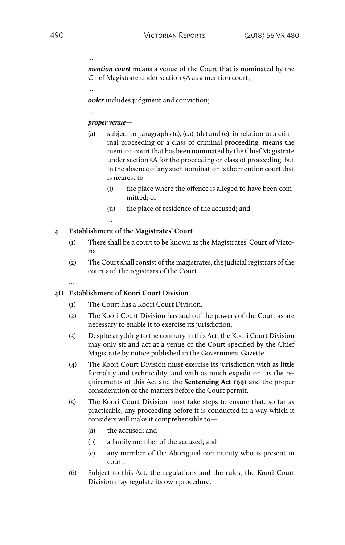...

...

...

*mention court* means a venue of the Court that is nominated by the Chief Magistrate under section 5A as a mention court;

*order* includes judgment and conviction;

#### *proper venue*—

- (a) subject to paragraphs (c), (ca), (dc) and (e), in relation to a criminal proceeding or a class of criminal proceeding, means the mention court that has been nominated by the Chief Magistrate under section 5A for the proceeding or class of proceeding, but in the absence of any such nomination is the mention court that is nearest to—
	- (i) the place where the offence is alleged to have been committed; or
	- (ii) the place of residence of the accused; and

### **4 Establishment of the Magistrates' Court**

...

...

- (1) There shall be a court to be known as the Magistrates' Court of Victoria.
- (2) The Court shall consist of the magistrates, the judicial registrars of the court and the registrars of the Court.

#### **4D Establishment of Koori Court Division**

- (1) The Court has a Koori Court Division.
- (2) The Koori Court Division has such of the powers of the Court as are necessary to enable it to exercise its jurisdiction.
- (3) Despite anything to the contrary in this Act, the Koori Court Division may only sit and act at a venue of the Court specified by the Chief Magistrate by notice published in the Government Gazette.
- (4) The Koori Court Division must exercise its jurisdiction with as little formality and technicality, and with as much expedition, as the requirements of this Act and the **Sentencing Act 1991** and the proper consideration of the matters before the Court permit.
- (5) The Koori Court Division must take steps to ensure that, so far as practicable, any proceeding before it is conducted in a way which it considers will make it comprehensible to—
	- (a) the accused; and
	- (b) a family member of the accused; and
	- (c) any member of the Aboriginal community who is present in court.
- (6) Subject to this Act, the regulations and the rules, the Koori Court Division may regulate its own procedure.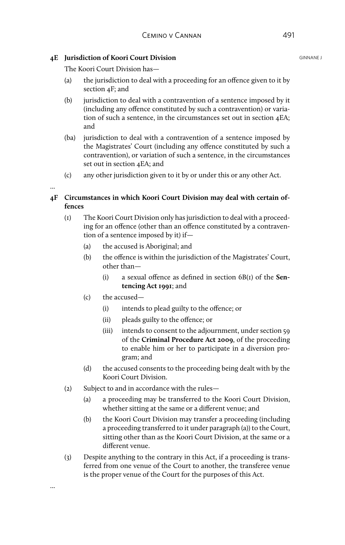### **4E Iurisdiction of Koori Court Division** GENERAL GENERAL GINNANE J

The Koori Court Division has—

- (a) the jurisdiction to deal with a proceeding for an offence given to it by section 4F; and
- (b) jurisdiction to deal with a contravention of a sentence imposed by it (including any offence constituted by such a contravention) or variation of such a sentence, in the circumstances set out in section 4EA; and
- (ba) jurisdiction to deal with a contravention of a sentence imposed by the Magistrates' Court (including any offence constituted by such a contravention), or variation of such a sentence, in the circumstances set out in section 4EA; and
- (c) any other jurisdiction given to it by or under this or any other Act.

### **4F Circumstances in which Koori Court Division may deal with certain offences**

- (1) The Koori Court Division only has jurisdiction to deal with a proceeding for an offence (other than an offence constituted by a contravention of a sentence imposed by it) if—
	- (a) the accused is Aboriginal; and
	- (b) the offence is within the jurisdiction of the Magistrates' Court, other than—
		- (i) a sexual offence as defined in section 6B(1) of the **Sentencing Act 1991**; and
	- (c) the accused—

...

...

- (i) intends to plead guilty to the offence; or
- (ii) pleads guilty to the offence; or
- (iii) intends to consent to the adjournment, under section 59 of the **Criminal Procedure Act 2009**, of the proceeding to enable him or her to participate in a diversion program; and
- (d) the accused consents to the proceeding being dealt with by the Koori Court Division.
- (2) Subject to and in accordance with the rules—
	- (a) a proceeding may be transferred to the Koori Court Division, whether sitting at the same or a different venue; and
	- (b) the Koori Court Division may transfer a proceeding (including a proceeding transferred to it under paragraph (a)) to the Court, sitting other than as the Koori Court Division, at the same or a different venue.
- (3) Despite anything to the contrary in this Act, if a proceeding is transferred from one venue of the Court to another, the transferee venue is the proper venue of the Court for the purposes of this Act.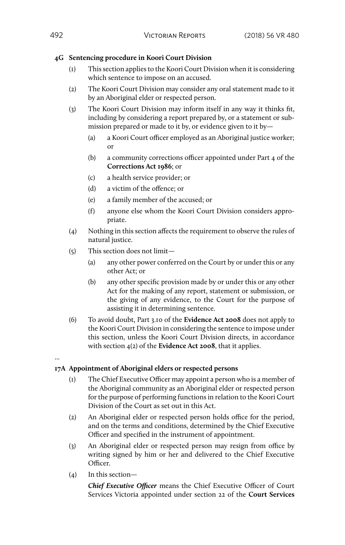### **4G Sentencing procedure in Koori Court Division**

- (1) This section applies to the Koori Court Division when it is considering which sentence to impose on an accused.
- (2) The Koori Court Division may consider any oral statement made to it by an Aboriginal elder or respected person.
- (3) The Koori Court Division may inform itself in any way it thinks fit, including by considering a report prepared by, or a statement or submission prepared or made to it by, or evidence given to it by—
	- (a) a Koori Court officer employed as an Aboriginal justice worker; or
	- (b) a community corrections officer appointed under Part 4 of the **Corrections Act 1986**; or
	- (c) a health service provider; or
	- (d) a victim of the offence; or
	- (e) a family member of the accused; or
	- (f) anyone else whom the Koori Court Division considers appropriate.
- (4) Nothing in this section affects the requirement to observe the rules of natural justice.
- (5) This section does not limit—
	- (a) any other power conferred on the Court by or under this or any other Act; or
	- (b) any other specific provision made by or under this or any other Act for the making of any report, statement or submission, or the giving of any evidence, to the Court for the purpose of assisting it in determining sentence.
- (6) To avoid doubt, Part 3.10 of the **Evidence Act 2008** does not apply to the Koori Court Division in considering the sentence to impose under this section, unless the Koori Court Division directs, in accordance with section 4(2) of the **Evidence Act 2008**, that it applies.
- ...

### **17A Appointment of Aboriginal elders or respected persons**

- (1) The Chief Executive Officer may appoint a person who is a member of the Aboriginal community as an Aboriginal elder or respected person for the purpose of performing functions in relation to the Koori Court Division of the Court as set out in this Act.
- (2) An Aboriginal elder or respected person holds office for the period, and on the terms and conditions, determined by the Chief Executive Officer and specified in the instrument of appointment.
- (3) An Aboriginal elder or respected person may resign from office by writing signed by him or her and delivered to the Chief Executive Officer.
- (4) In this section—

*Chief Executive Officer* means the Chief Executive Officer of Court Services Victoria appointed under section 22 of the **Court Services**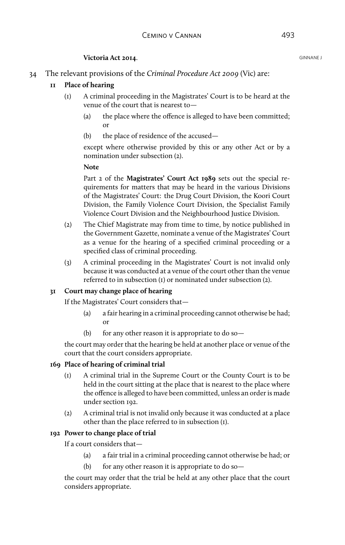### **Victoria Act 2014. GINNANE J GINNANE J**

34 The relevant provisions of the *Criminal Procedure Act 2009* (Vic) are:

### **11 Place of hearing**

- (1) A criminal proceeding in the Magistrates' Court is to be heard at the venue of the court that is nearest to—
	- (a) the place where the offence is alleged to have been committed; or
	- (b) the place of residence of the accused—

except where otherwise provided by this or any other Act or by a nomination under subsection (2).

#### **Note**

Part 2 of the **Magistrates' Court Act 1989** sets out the special requirements for matters that may be heard in the various Divisions of the Magistrates' Court: the Drug Court Division, the Koori Court Division, the Family Violence Court Division, the Specialist Family Violence Court Division and the Neighbourhood Justice Division.

- (2) The Chief Magistrate may from time to time, by notice published in the Government Gazette, nominate a venue of the Magistrates' Court as a venue for the hearing of a specified criminal proceeding or a specified class of criminal proceeding.
- (3) A criminal proceeding in the Magistrates' Court is not invalid only because it was conducted at a venue of the court other than the venue referred to in subsection (1) or nominated under subsection (2).

### **31 Court may change place of hearing**

If the Magistrates' Court considers that—

- (a) a fair hearing in a criminal proceeding cannot otherwise be had; or
- (b) for any other reason it is appropriate to do so—

the court may order that the hearing be held at another place or venue of the court that the court considers appropriate.

#### **169 Place of hearing of criminal trial**

- (1) A criminal trial in the Supreme Court or the County Court is to be held in the court sitting at the place that is nearest to the place where the offence is alleged to have been committed, unless an order is made under section 192.
- (2) A criminal trial is not invalid only because it was conducted at a place other than the place referred to in subsection (1).

### **192 Power to change place of trial**

If a court considers that—

- (a) a fair trial in a criminal proceeding cannot otherwise be had; or
- (b) for any other reason it is appropriate to do so—

the court may order that the trial be held at any other place that the court considers appropriate.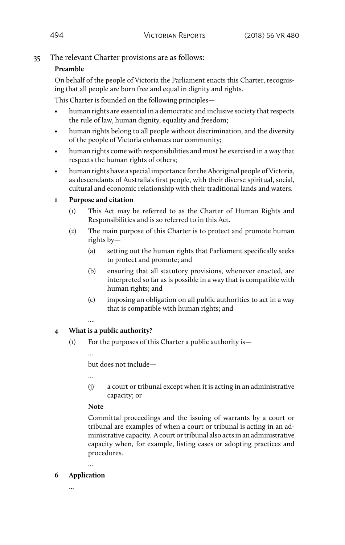### 35 The relevant Charter provisions are as follows:

### **Preamble**

On behalf of the people of Victoria the Parliament enacts this Charter, recognising that all people are born free and equal in dignity and rights.

This Charter is founded on the following principles—

- human rights are essential in a democratic and inclusive society that respects the rule of law, human dignity, equality and freedom;
- human rights belong to all people without discrimination, and the diversity of the people of Victoria enhances our community;
- human rights come with responsibilities and must be exercised in a way that respects the human rights of others;
- human rights have a special importance for the Aboriginal people of Victoria, as descendants of Australia's first people, with their diverse spiritual, social, cultural and economic relationship with their traditional lands and waters.

### **1 Purpose and citation**

- (1) This Act may be referred to as the Charter of Human Rights and Responsibilities and is so referred to in this Act.
- (2) The main purpose of this Charter is to protect and promote human rights by—
	- (a) setting out the human rights that Parliament specifically seeks to protect and promote; and
	- (b) ensuring that all statutory provisions, whenever enacted, are interpreted so far as is possible in a way that is compatible with human rights; and
	- (c) imposing an obligation on all public authorities to act in a way that is compatible with human rights; and

### **4 What is a public authority?**

(1) For the purposes of this Charter a public authority is—

...

but does not include—

(j) a court or tribunal except when it is acting in an administrative capacity; or

### **Note**

Committal proceedings and the issuing of warrants by a court or tribunal are examples of when a court or tribunal is acting in an administrative capacity. A court or tribunal also acts in an administrative capacity when, for example, listing cases or adopting practices and procedures.

**6 Application**

...

...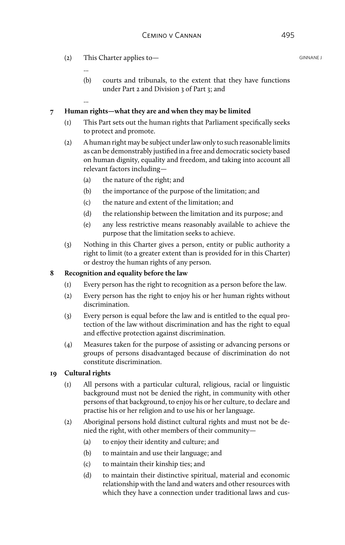- (2) This Charter applies to GINNANE J
	-
	- (b) courts and tribunals, to the extent that they have functions under Part 2 and Division 3 of Part 3; and
	- ...

#### **7 Human rights—what they are and when they may be limited**

- (1) This Part sets out the human rights that Parliament specifically seeks to protect and promote.
- (2) A human right may be subject under law only to such reasonable limits as can be demonstrably justified in a free and democratic society based on human dignity, equality and freedom, and taking into account all relevant factors including—
	- (a) the nature of the right; and
	- (b) the importance of the purpose of the limitation; and
	- (c) the nature and extent of the limitation; and
	- (d) the relationship between the limitation and its purpose; and
	- (e) any less restrictive means reasonably available to achieve the purpose that the limitation seeks to achieve.
- (3) Nothing in this Charter gives a person, entity or public authority a right to limit (to a greater extent than is provided for in this Charter) or destroy the human rights of any person.

#### **8 Recognition and equality before the law**

- (1) Every person has the right to recognition as a person before the law.
- (2) Every person has the right to enjoy his or her human rights without discrimination.
- (3) Every person is equal before the law and is entitled to the equal protection of the law without discrimination and has the right to equal and effective protection against discrimination.
- (4) Measures taken for the purpose of assisting or advancing persons or groups of persons disadvantaged because of discrimination do not constitute discrimination.

### **19 Cultural rights**

- (1) All persons with a particular cultural, religious, racial or linguistic background must not be denied the right, in community with other persons of that background, to enjoy his or her culture, to declare and practise his or her religion and to use his or her language.
- (2) Aboriginal persons hold distinct cultural rights and must not be denied the right, with other members of their community—
	- (a) to enjoy their identity and culture; and
	- (b) to maintain and use their language; and
	- (c) to maintain their kinship ties; and
	- (d) to maintain their distinctive spiritual, material and economic relationship with the land and waters and other resources with which they have a connection under traditional laws and cus-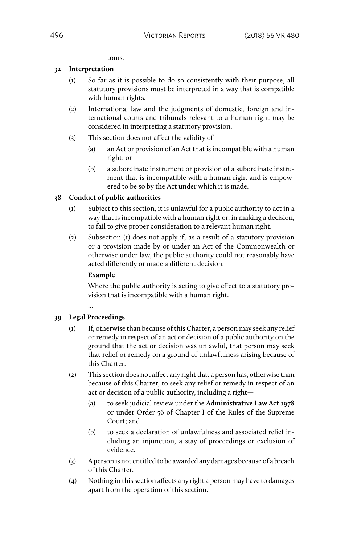toms.

#### **32 Interpretation**

- (1) So far as it is possible to do so consistently with their purpose, all statutory provisions must be interpreted in a way that is compatible with human rights.
- (2) International law and the judgments of domestic, foreign and international courts and tribunals relevant to a human right may be considered in interpreting a statutory provision.
- (3) This section does not affect the validity of—
	- (a) an Act or provision of an Act that is incompatible with a human right; or
	- (b) a subordinate instrument or provision of a subordinate instrument that is incompatible with a human right and is empowered to be so by the Act under which it is made.

### **38 Conduct of public authorities**

- (1) Subject to this section, it is unlawful for a public authority to act in a way that is incompatible with a human right or, in making a decision, to fail to give proper consideration to a relevant human right.
- (2) Subsection (1) does not apply if, as a result of a statutory provision or a provision made by or under an Act of the Commonwealth or otherwise under law, the public authority could not reasonably have acted differently or made a different decision.

#### **Example**

Where the public authority is acting to give effect to a statutory provision that is incompatible with a human right.

### ... **39 Legal Proceedings**

- (1) If, otherwise than because of this Charter, a person may seek any relief or remedy in respect of an act or decision of a public authority on the ground that the act or decision was unlawful, that person may seek that relief or remedy on a ground of unlawfulness arising because of this Charter.
- (2) This section does not affect any right that a person has, otherwise than because of this Charter, to seek any relief or remedy in respect of an act or decision of a public authority, including a right—
	- (a) to seek judicial review under the **Administrative Law Act 1978** or under Order 56 of Chapter I of the Rules of the Supreme Court; and
	- (b) to seek a declaration of unlawfulness and associated relief including an injunction, a stay of proceedings or exclusion of evidence.
- (3) A person is not entitled to be awarded any damages because of a breach of this Charter.
- (4) Nothing in this section affects any right a person may have to damages apart from the operation of this section.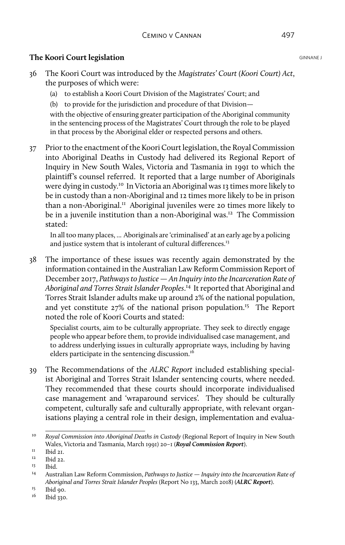# **The Koori Court legislation** GINNANE J

- 36 The Koori Court was introduced by the *Magistrates' Court (Koori Court) Act*, the purposes of which were:
	- (a) to establish a Koori Court Division of the Magistrates' Court; and
	- (b) to provide for the jurisdiction and procedure of that Division—

with the objective of ensuring greater participation of the Aboriginal community in the sentencing process of the Magistrates' Court through the role to be played in that process by the Aboriginal elder or respected persons and others.

37 Prior to the enactment of the Koori Court legislation, the Royal Commission into Aboriginal Deaths in Custody had delivered its Regional Report of Inquiry in New South Wales, Victoria and Tasmania in 1991 to which the plaintiff's counsel referred. It reported that a large number of Aboriginals were dying in custody.10 In Victoria an Aboriginal was 13 times more likely to be in custody than a non-Aboriginal and 12 times more likely to be in prison than a non-Aboriginal.<sup>11</sup> Aboriginal juveniles were 20 times more likely to be in a juvenile institution than a non-Aboriginal was.<sup>12</sup> The Commission stated:

In all too many places, ... Aboriginals are 'criminalised' at an early age by a policing and justice system that is intolerant of cultural differences.<sup>13</sup>

38 The importance of these issues was recently again demonstrated by the information contained in the Australian Law Reform Commission Report of December 2017, *Pathways to Justice — An Inquiry into the Incarceration Rate of Aboriginal and Torres Strait Islander Peoples*. 14 It reported that Aboriginal and Torres Strait Islander adults make up around 2% of the national population, and yet constitute 27% of the national prison population.<sup>15</sup> The Report noted the role of Koori Courts and stated:

Specialist courts, aim to be culturally appropriate. They seek to directly engage people who appear before them, to provide individualised case management, and to address underlying issues in culturally appropriate ways, including by having elders participate in the sentencing discussion.<sup>16</sup>

39 The Recommendations of the *ALRC Report* included establishing specialist Aboriginal and Torres Strait Islander sentencing courts, where needed. They recommended that these courts should incorporate individualised case management and 'wraparound services'. They should be culturally competent, culturally safe and culturally appropriate, with relevant organisations playing a central role in their design, implementation and evalua-

<sup>10</sup> *Royal Commission into Aboriginal Deaths in Custody* (Regional Report of Inquiry in New South Wales, Victoria and Tasmania, March 1991) 20–1 (*Royal Commission Report*).

 $11$  Ibid 21.

Ibid 22.

 $13$  Ibid.

<sup>14</sup> Australian Law Reform Commission, *Pathways to Justice — Inquiry into the Incarceration Rate of Aboriginal and Torres Strait Islander Peoples* (Report No 133, March 2018) (*ALRC Report*).

 $\frac{15}{16}$  Ibid 90.

<sup>16</sup> Ibid 330.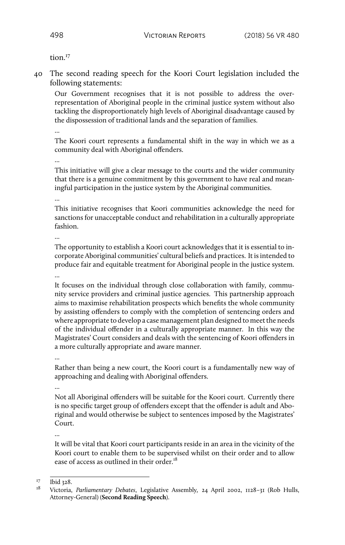tion $17$ 

40 The second reading speech for the Koori Court legislation included the following statements:

Our Government recognises that it is not possible to address the overrepresentation of Aboriginal people in the criminal justice system without also tackling the disproportionately high levels of Aboriginal disadvantage caused by the dispossession of traditional lands and the separation of families.

The Koori court represents a fundamental shift in the way in which we as a community deal with Aboriginal offenders.

...

This initiative will give a clear message to the courts and the wider community that there is a genuine commitment by this government to have real and meaningful participation in the justice system by the Aboriginal communities.

...

This initiative recognises that Koori communities acknowledge the need for sanctions for unacceptable conduct and rehabilitation in a culturally appropriate fashion.

...

The opportunity to establish a Koori court acknowledges that it is essential to incorporate Aboriginal communities' cultural beliefs and practices. It is intended to produce fair and equitable treatment for Aboriginal people in the justice system.

...

It focuses on the individual through close collaboration with family, community service providers and criminal justice agencies. This partnership approach aims to maximise rehabilitation prospects which benefits the whole community by assisting offenders to comply with the completion of sentencing orders and where appropriate to develop a case management plan designed to meet the needs of the individual offender in a culturally appropriate manner. In this way the Magistrates' Court considers and deals with the sentencing of Koori offenders in a more culturally appropriate and aware manner.

...

Rather than being a new court, the Koori court is a fundamentally new way of approaching and dealing with Aboriginal offenders.

...

Not all Aboriginal offenders will be suitable for the Koori court. Currently there is no specific target group of offenders except that the offender is adult and Aboriginal and would otherwise be subject to sentences imposed by the Magistrates' Court.

...

It will be vital that Koori court participants reside in an area in the vicinity of the Koori court to enable them to be supervised whilst on their order and to allow ease of access as outlined in their order.<sup>18</sup>

 $\frac{17}{18}$  Ibid 328.

<sup>18</sup> Victoria, *Parliamentary Debates*, Legislative Assembly*,* 24 April 2002, 1128–31 (Rob Hulls, Attorney-General) (**Second Reading Speech**).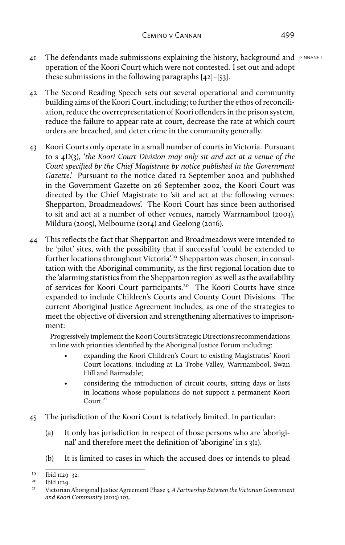- $4I$  The defendants made submissions explaining the history, background and  $GINANDE$ operation of the Koori Court which were not contested. I set out and adopt these submissions in the following paragraphs [42]–[53].
- 42 The Second Reading Speech sets out several operational and community building aims of the Koori Court, including; to further the ethos of reconciliation, reduce the overrepresentation of Koori offenders in the prison system, reduce the failure to appear rate at court, decrease the rate at which court orders are breached, and deter crime in the community generally.
- 43 Koori Courts only operate in a small number of courts in Victoria. Pursuant to s 4D(3), '*the Koori Court Division may only sit and act at a venue of the Court specified by the Chief Magistrate by notice published in the Government Gazette*.' Pursuant to the notice dated 12 September 2002 and published in the Government Gazette on 26 September 2002, the Koori Court was directed by the Chief Magistrate to 'sit and act at the following venues: Shepparton, Broadmeadows'. The Koori Court has since been authorised to sit and act at a number of other venues, namely Warrnambool (2003), Mildura (2005), Melbourne (2014) and Geelong (2016).
- 44 This reflects the fact that Shepparton and Broadmeadows were intended to be 'pilot' sites, with the possibility that if successful 'could be extended to further locations throughout Victoria'.<sup>19</sup> Shepparton was chosen, in consultation with the Aboriginal community, as the first regional location due to the 'alarming statistics from the Shepparton region' as well as the availability of services for Koori Court participants.20 The Koori Courts have since expanded to include Children's Courts and County Court Divisions. The current Aboriginal Justice Agreement includes, as one of the strategies to meet the objective of diversion and strengthening alternatives to imprisonment:

Progressively implement the Koori Courts Strategic Directions recommendations in line with priorities identified by the Aboriginal Justice Forum including:

- expanding the Koori Children's Court to existing Magistrates' Koori Court locations, including at La Trobe Valley, Warrnambool, Swan Hill and Bairnsdale;
- considering the introduction of circuit courts, sitting days or lists in locations whose populations do not support a permanent Koori Court.<sup>21</sup>
- 45 The jurisdiction of the Koori Court is relatively limited. In particular:
	- (a) It only has jurisdiction in respect of those persons who are 'aboriginal' and therefore meet the definition of 'aborigine' in s 3(1).
	- (b) It is limited to cases in which the accused does or intends to plead

 $19$  Ibid 1129–32.

 $20$  Ibid II29.

<sup>21</sup> Victorian Aboriginal Justice Agreement Phase 3, *A Partnership Between the Victorian Government and Koori Community* (2013) 103.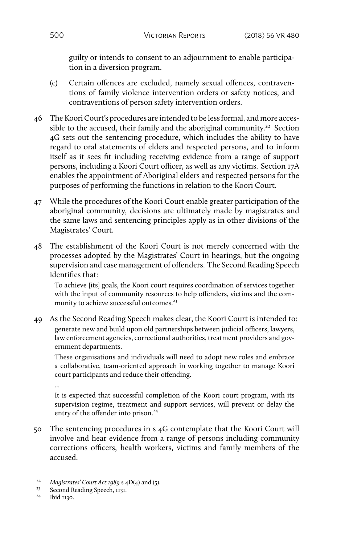guilty or intends to consent to an adjournment to enable participation in a diversion program.

- (c) Certain offences are excluded, namely sexual offences, contraventions of family violence intervention orders or safety notices, and contraventions of person safety intervention orders.
- 46 The Koori Court's procedures are intended to be less formal, and more accessible to the accused, their family and the aboriginal community.<sup>22</sup> Section 4G sets out the sentencing procedure, which includes the ability to have regard to oral statements of elders and respected persons, and to inform itself as it sees fit including receiving evidence from a range of support persons, including a Koori Court officer, as well as any victims. Section 17A enables the appointment of Aboriginal elders and respected persons for the purposes of performing the functions in relation to the Koori Court.
- 47 While the procedures of the Koori Court enable greater participation of the aboriginal community, decisions are ultimately made by magistrates and the same laws and sentencing principles apply as in other divisions of the Magistrates' Court.
- 48 The establishment of the Koori Court is not merely concerned with the processes adopted by the Magistrates' Court in hearings, but the ongoing supervision and case management of offenders. The Second Reading Speech identifies that:

To achieve [its] goals, the Koori court requires coordination of services together with the input of community resources to help offenders, victims and the community to achieve successful outcomes.<sup>23</sup>

49 As the Second Reading Speech makes clear, the Koori Court is intended to: generate new and build upon old partnerships between judicial officers, lawyers, law enforcement agencies, correctional authorities, treatment providers and government departments.

These organisations and individuals will need to adopt new roles and embrace a collaborative, team-oriented approach in working together to manage Koori court participants and reduce their offending.

...

It is expected that successful completion of the Koori court program, with its supervision regime, treatment and support services, will prevent or delay the entry of the offender into prison.<sup>24</sup>

50 The sentencing procedures in s 4G contemplate that the Koori Court will involve and hear evidence from a range of persons including community corrections officers, health workers, victims and family members of the accused.

<sup>22</sup> *Magistrates' Court Act 1989* s 4D(4) and (5).

<sup>&</sup>lt;sup>23</sup> Second Reading Speech,  $1131$ .<br><sup>24</sup> Ibid  $1120$ 

lbid 1130.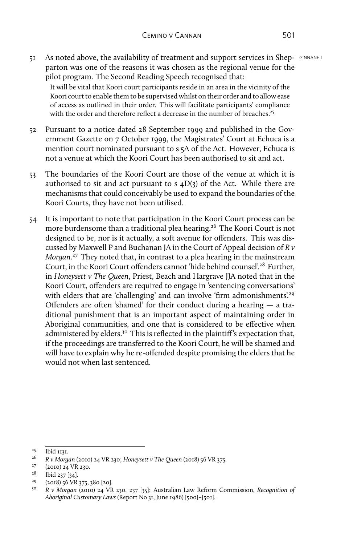51 As noted above, the availability of treatment and support services in Shep- GINNANE J parton was one of the reasons it was chosen as the regional venue for the pilot program. The Second Reading Speech recognised that:

It will be vital that Koori court participants reside in an area in the vicinity of the Koori court to enable them to be supervised whilst on their order and to allow ease of access as outlined in their order. This will facilitate participants' compliance with the order and therefore reflect a decrease in the number of breaches.<sup>25</sup>

- 52 Pursuant to a notice dated 28 September 1999 and published in the Government Gazette on 7 October 1999, the Magistrates' Court at Echuca is a mention court nominated pursuant to s 5A of the Act. However, Echuca is not a venue at which the Koori Court has been authorised to sit and act.
- 53 The boundaries of the Koori Court are those of the venue at which it is authorised to sit and act pursuant to s  $4D(3)$  of the Act. While there are mechanisms that could conceivably be used to expand the boundaries of the Koori Courts, they have not been utilised.
- 54 It is important to note that participation in the Koori Court process can be more burdensome than a traditional plea hearing.26 The Koori Court is not designed to be, nor is it actually, a soft avenue for offenders. This was discussed by Maxwell P and Buchanan JA in the Court of Appeal decision of *R v Morgan*. 27 They noted that, in contrast to a plea hearing in the mainstream Court, in the Koori Court offenders cannot 'hide behind counsel'.28 Further, in *Honeysett v The Queen*, Priest, Beach and Hargrave JJA noted that in the Koori Court, offenders are required to engage in 'sentencing conversations' with elders that are 'challenging' and can involve 'firm admonishments'.<sup>29</sup> Offenders are often 'shamed' for their conduct during a hearing — a traditional punishment that is an important aspect of maintaining order in Aboriginal communities, and one that is considered to be effective when administered by elders.<sup>30</sup> This is reflected in the plaintiff's expectation that, if the proceedings are transferred to the Koori Court, he will be shamed and will have to explain why he re-offended despite promising the elders that he would not when last sentenced.

 $^{27}$  (2010) 24 VR 230.

<sup>&</sup>lt;sup>25</sup> Ibid 1131.<br><sup>26</sup> P. Mora

<sup>26</sup> *R v Morgan* (2010) 24 VR 230; *Honeysett v The Queen* (2018) 56 VR 375.

 $\frac{28}{29}$  Ibid 237 [34].

<sup>&</sup>lt;sup>29</sup> (2018) 56 VR 375, 380 [20].<br><sup>30</sup> R v Morgan (2010) 24 VR

<sup>30</sup> *R v Morgan* (2010) 24 VR 230, 237 [35]; Australian Law Reform Commission, *Recognition of Aboriginal Customary Laws* (Report No 31, June 1986) [500]–[501].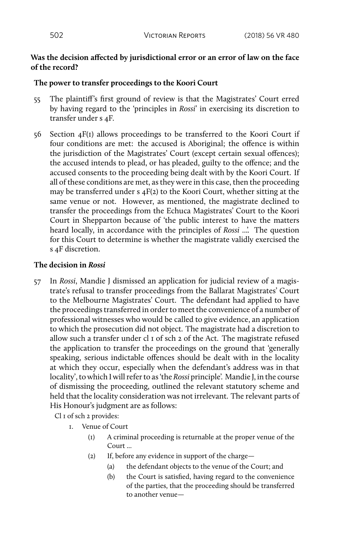### **Was the decision affected by jurisdictional error or an error of law on the face of the record?**

### **The power to transfer proceedings to the Koori Court**

- 55 The plaintiff's first ground of review is that the Magistrates' Court erred by having regard to the 'principles in *Rossi*' in exercising its discretion to transfer under s 4F.
- 56 Section 4F(1) allows proceedings to be transferred to the Koori Court if four conditions are met: the accused is Aboriginal; the offence is within the jurisdiction of the Magistrates' Court (except certain sexual offences); the accused intends to plead, or has pleaded, guilty to the offence; and the accused consents to the proceeding being dealt with by the Koori Court. If all of these conditions are met, as they were in this case, then the proceeding may be transferred under s 4F(2) to the Koori Court, whether sitting at the same venue or not. However, as mentioned, the magistrate declined to transfer the proceedings from the Echuca Magistrates' Court to the Koori Court in Shepparton because of 'the public interest to have the matters heard locally, in accordance with the principles of *Rossi* ...'. The question for this Court to determine is whether the magistrate validly exercised the s 4F discretion.

### **The decision in** *Rossi*

57 In *Rossi*, Mandie J dismissed an application for judicial review of a magistrate's refusal to transfer proceedings from the Ballarat Magistrates' Court to the Melbourne Magistrates' Court. The defendant had applied to have the proceedings transferred in order to meet the convenience of a number of professional witnesses who would be called to give evidence, an application to which the prosecution did not object. The magistrate had a discretion to allow such a transfer under cl 1 of sch 2 of the Act. The magistrate refused the application to transfer the proceedings on the ground that 'generally speaking, serious indictable offences should be dealt with in the locality at which they occur, especially when the defendant's address was in that locality', to which I will refer to as 'the *Rossi* principle'. Mandie J, in the course of dismissing the proceeding, outlined the relevant statutory scheme and held that the locality consideration was not irrelevant. The relevant parts of His Honour's judgment are as follows:

Cl 1 of sch 2 provides:

- 1. Venue of Court
	- (1) A criminal proceeding is returnable at the proper venue of the Court ...
	- (2) If, before any evidence in support of the charge—
		- (a) the defendant objects to the venue of the Court; and
		- (b) the Court is satisfied, having regard to the convenience of the parties, that the proceeding should be transferred to another venue—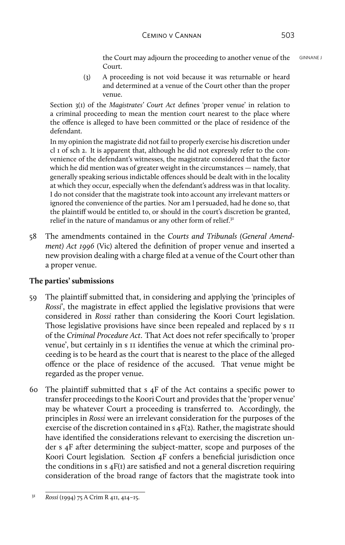the Court may adjourn the proceeding to another venue of the GINNANE J Court.

(3) A proceeding is not void because it was returnable or heard and determined at a venue of the Court other than the proper venue.

Section 3(1) of the *Magistrates' Court Act* defines 'proper venue' in relation to a criminal proceeding to mean the mention court nearest to the place where the offence is alleged to have been committed or the place of residence of the defendant.

In my opinion the magistrate did not fail to properly exercise his discretion under cl 1 of sch 2. It is apparent that, although he did not expressly refer to the convenience of the defendant's witnesses, the magistrate considered that the factor which he did mention was of greater weight in the circumstances — namely, that generally speaking serious indictable offences should be dealt with in the locality at which they occur, especially when the defendant's address was in that locality. I do not consider that the magistrate took into account any irrelevant matters or ignored the convenience of the parties. Nor am I persuaded, had he done so, that the plaintiff would be entitled to, or should in the court's discretion be granted, relief in the nature of mandamus or any other form of relief.<sup>31</sup>

58 The amendments contained in the *Courts and Tribunals (General Amendment) Act 1996* (Vic) altered the definition of proper venue and inserted a new provision dealing with a charge filed at a venue of the Court other than a proper venue.

## **The parties' submissions**

- 59 The plaintiff submitted that, in considering and applying the 'principles of *Rossi*', the magistrate in effect applied the legislative provisions that were considered in *Rossi* rather than considering the Koori Court legislation. Those legislative provisions have since been repealed and replaced by s 11 of the *Criminal Procedure Act*. That Act does not refer specifically to 'proper venue', but certainly in s 11 identifies the venue at which the criminal proceeding is to be heard as the court that is nearest to the place of the alleged offence or the place of residence of the accused. That venue might be regarded as the proper venue.
- 60 The plaintiff submitted that s 4F of the Act contains a specific power to transfer proceedings to the Koori Court and provides that the 'proper venue' may be whatever Court a proceeding is transferred to. Accordingly, the principles in *Rossi* were an irrelevant consideration for the purposes of the exercise of the discretion contained in s 4F(2). Rather, the magistrate should have identified the considerations relevant to exercising the discretion under s 4F after determining the subject-matter, scope and purposes of the Koori Court legislation*.* Section 4F confers a beneficial jurisdiction once the conditions in s 4F(1) are satisfied and not a general discretion requiring consideration of the broad range of factors that the magistrate took into

<sup>31</sup> *Rossi* (1994) 75 A Crim R 411, 414–15.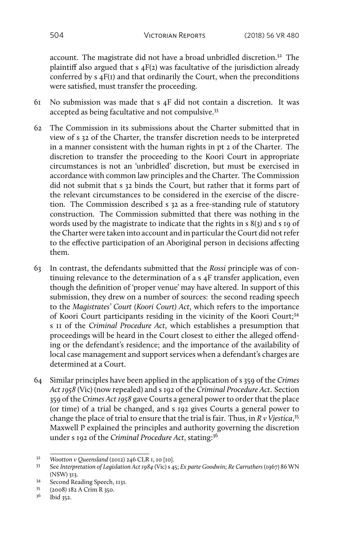account. The magistrate did not have a broad unbridled discretion.32 The plaintiff also argued that s 4F(2) was facultative of the jurisdiction already conferred by s 4F(1) and that ordinarily the Court, when the preconditions were satisfied, must transfer the proceeding.

- 61 No submission was made that s 4F did not contain a discretion. It was accepted as being facultative and not compulsive.33
- 62 The Commission in its submissions about the Charter submitted that in view of s 32 of the Charter, the transfer discretion needs to be interpreted in a manner consistent with the human rights in pt 2 of the Charter. The discretion to transfer the proceeding to the Koori Court in appropriate circumstances is not an 'unbridled' discretion, but must be exercised in accordance with common law principles and the Charter. The Commission did not submit that s 32 binds the Court, but rather that it forms part of the relevant circumstances to be considered in the exercise of the discretion. The Commission described s 32 as a free-standing rule of statutory construction. The Commission submitted that there was nothing in the words used by the magistrate to indicate that the rights in s 8(3) and s 19 of the Charter were taken into account and in particular the Court did not refer to the effective participation of an Aboriginal person in decisions affecting them.
- 63 In contrast, the defendants submitted that the *Rossi* principle was of continuing relevance to the determination of a s 4F transfer application, even though the definition of 'proper venue' may have altered. In support of this submission, they drew on a number of sources: the second reading speech to the *Magistrates' Court (Koori Court) Act*, which refers to the importance of Koori Court participants residing in the vicinity of the Koori Court;34 s 11 of the *Criminal Procedure Act*, which establishes a presumption that proceedings will be heard in the Court closest to either the alleged offending or the defendant's residence; and the importance of the availability of local case management and support services when a defendant's charges are determined at a Court.
- 64 Similar principles have been applied in the application of s 359 of the *Crimes Act 1958* (Vic) (now repealed) and s 192 of the *Criminal Procedure Act*. Section 359 of the *Crimes Act 1958* gave Courts a general power to order that the place (or time) of a trial be changed, and s 192 gives Courts a general power to change the place of trial to ensure that the trial is fair. Thus, in *R v Vjestica*, 35 Maxwell P explained the principles and authority governing the discretion under s 192 of the *Criminal Procedure Act*, stating:36

Ibid 352.

<sup>32</sup> *Wootton v Queensland* (2012) 246 CLR 1, 10 [10].

<sup>33</sup> See *Interpretation of Legislation Act 1984* (Vic) s 45; *Ex parte Goodwin; Re Carruthers* (1967) 86 WN (NSW) 313.

<sup>34</sup> Second Reading Speech, 1131.

 $^{35}$  (2008) 182 A Crim R 350.<br> $^{36}$  Ibid 252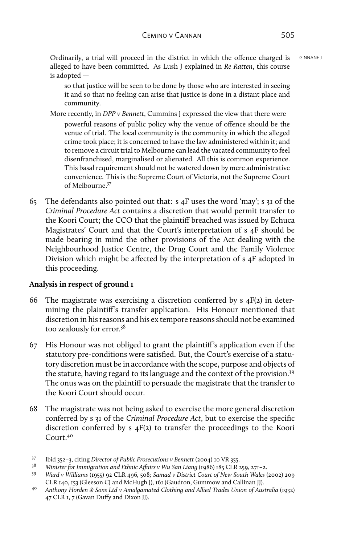Ordinarily, a trial will proceed in the district in which the offence charged is **GINNANE** J alleged to have been committed. As Lush J explained in *Re Ratten*, this course is adopted —

so that justice will be seen to be done by those who are interested in seeing it and so that no feeling can arise that justice is done in a distant place and community.

More recently, in *DPP v Bennett*, Cummins J expressed the view that there were

powerful reasons of public policy why the venue of offence should be the venue of trial. The local community is the community in which the alleged crime took place; it is concerned to have the law administered within it; and to remove a circuit trial to Melbourne can lead the vacated community to feel disenfranchised, marginalised or alienated. All this is common experience. This basal requirement should not be watered down by mere administrative convenience. This is the Supreme Court of Victoria, not the Supreme Court of Melbourne<sup>37</sup>

65 The defendants also pointed out that: s 4F uses the word 'may'; s 31 of the *Criminal Procedure Act* contains a discretion that would permit transfer to the Koori Court; the CCO that the plaintiff breached was issued by Echuca Magistrates' Court and that the Court's interpretation of s 4F should be made bearing in mind the other provisions of the Act dealing with the Neighbourhood Justice Centre, the Drug Court and the Family Violence Division which might be affected by the interpretation of s 4F adopted in this proceeding.

## **Analysis in respect of ground 1**

- 66 The magistrate was exercising a discretion conferred by  $s$  4F(2) in determining the plaintiff's transfer application. His Honour mentioned that discretion in his reasons and his ex tempore reasons should not be examined too zealously for error.38
- 67 His Honour was not obliged to grant the plaintiff's application even if the statutory pre-conditions were satisfied. But, the Court's exercise of a statutory discretion must be in accordance with the scope, purpose and objects of the statute, having regard to its language and the context of the provision.39 The onus was on the plaintiff to persuade the magistrate that the transfer to the Koori Court should occur.
- 68 The magistrate was not being asked to exercise the more general discretion conferred by s 31 of the *Criminal Procedure Act*, but to exercise the specific discretion conferred by  $s$   $4F(2)$  to transfer the proceedings to the Koori Court<sup>40</sup>

<sup>37</sup> Ibid 352–3, citing *Director of Public Prosecutions v Bennett* (2004) 10 VR 355.

<sup>38</sup> *Minister for Immigration and Ethnic Affairs v Wu San Liang* (1986) 185 CLR 259, 271–2.

<sup>39</sup> *Ward v Williams* (1955) 92 CLR 496*,* 508*; Samad v District Court of New South Wales* (2002) 209 CLR 140, 153 (Gleeson CJ and McHugh J), 161 (Gaudron, Gummow and Callinan JJ).

<sup>40</sup> *Anthony Horden & Sons Ltd v Amalgamated Clothing and Allied Trades Union of Australia* (1932) 47 CLR 1, 7 (Gavan Duffy and Dixon JJ).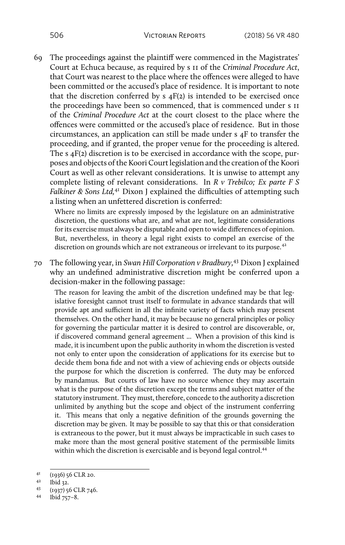69 The proceedings against the plaintiff were commenced in the Magistrates' Court at Echuca because, as required by s 11 of the *Criminal Procedure Act*, that Court was nearest to the place where the offences were alleged to have been committed or the accused's place of residence. It is important to note that the discretion conferred by  $s$   $4F(2)$  is intended to be exercised once the proceedings have been so commenced, that is commenced under s 11 of the *Criminal Procedure Act* at the court closest to the place where the offences were committed or the accused's place of residence. But in those circumstances, an application can still be made under s 4F to transfer the proceeding, and if granted, the proper venue for the proceeding is altered. The s 4F(2) discretion is to be exercised in accordance with the scope, purposes and objects of the Koori Court legislation and the creation of the Koori Court as well as other relevant considerations. It is unwise to attempt any complete listing of relevant considerations. In *R v Trebilco; Ex parte F S Falkiner & Sons Ltd*,<sup>41</sup> Dixon J explained the difficulties of attempting such a listing when an unfettered discretion is conferred:

Where no limits are expressly imposed by the legislature on an administrative discretion, the questions what are, and what are not, legitimate considerations for its exercise must always be disputable and open to wide differences of opinion. But, nevertheless, in theory a legal right exists to compel an exercise of the discretion on grounds which are not extraneous or irrelevant to its purpose.<sup>42</sup>

70 The following year, in *Swan Hill Corporation v Bradbury,*43 Dixon J explained why an undefined administrative discretion might be conferred upon a decision-maker in the following passage:

The reason for leaving the ambit of the discretion undefined may be that legislative foresight cannot trust itself to formulate in advance standards that will provide apt and sufficient in all the infinite variety of facts which may present themselves. On the other hand, it may be because no general principles or policy for governing the particular matter it is desired to control are discoverable, or, if discovered command general agreement ... When a provision of this kind is made, it is incumbent upon the public authority in whom the discretion is vested not only to enter upon the consideration of applications for its exercise but to decide them bona fide and not with a view of achieving ends or objects outside the purpose for which the discretion is conferred. The duty may be enforced by mandamus. But courts of law have no source whence they may ascertain what is the purpose of the discretion except the terms and subject matter of the statutory instrument. They must, therefore, concede to the authority a discretion unlimited by anything but the scope and object of the instrument conferring it. This means that only a negative definition of the grounds governing the discretion may be given. It may be possible to say that this or that consideration is extraneous to the power, but it must always be impracticable in such cases to make more than the most general positive statement of the permissible limits within which the discretion is exercisable and is beyond legal control.<sup>44</sup>

 $^{41}$  (1936) 56 CLR 20.<br>  $^{42}$  lhid 22

 $^{42}$  Ibid 32.<br>  $^{43}$  (1027) 5

 $(1937)$  56 CLR 746.<br>44 Ibid  $75-8$ 

Ibid  $757-8$ .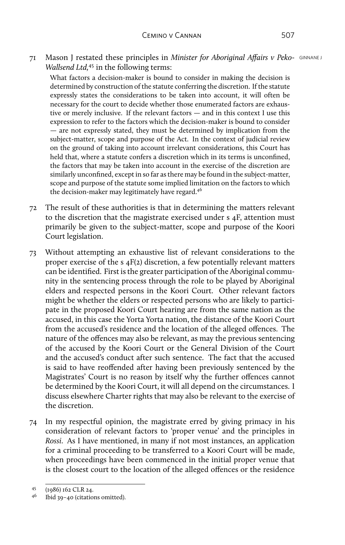71 Mason J restated these principles in *Minister for Aboriginal Affairs v Peko-* GINNANE J *Wallsend Ltd,*45 in the following terms:

What factors a decision-maker is bound to consider in making the decision is determined by construction of the statute conferring the discretion. If the statute expressly states the considerations to be taken into account, it will often be necessary for the court to decide whether those enumerated factors are exhaustive or merely inclusive. If the relevant factors — and in this context I use this expression to refer to the factors which the decision-maker is bound to consider — are not expressly stated, they must be determined by implication from the subject-matter, scope and purpose of the Act. In the context of judicial review on the ground of taking into account irrelevant considerations, this Court has held that, where a statute confers a discretion which in its terms is unconfined, the factors that may be taken into account in the exercise of the discretion are similarly unconfined, except in so far as there may be found in the subject-matter, scope and purpose of the statute some implied limitation on the factors to which the decision-maker may legitimately have regard.<sup>46</sup>

- 72 The result of these authorities is that in determining the matters relevant to the discretion that the magistrate exercised under s 4F, attention must primarily be given to the subject-matter, scope and purpose of the Koori Court legislation.
- 73 Without attempting an exhaustive list of relevant considerations to the proper exercise of the s 4F(2) discretion, a few potentially relevant matters can be identified. First is the greater participation of the Aboriginal community in the sentencing process through the role to be played by Aboriginal elders and respected persons in the Koori Court. Other relevant factors might be whether the elders or respected persons who are likely to participate in the proposed Koori Court hearing are from the same nation as the accused, in this case the Yorta Yorta nation, the distance of the Koori Court from the accused's residence and the location of the alleged offences. The nature of the offences may also be relevant, as may the previous sentencing of the accused by the Koori Court or the General Division of the Court and the accused's conduct after such sentence. The fact that the accused is said to have reoffended after having been previously sentenced by the Magistrates' Court is no reason by itself why the further offences cannot be determined by the Koori Court, it will all depend on the circumstances. I discuss elsewhere Charter rights that may also be relevant to the exercise of the discretion.
- 74 In my respectful opinion, the magistrate erred by giving primacy in his consideration of relevant factors to 'proper venue' and the principles in *Rossi*. As I have mentioned, in many if not most instances, an application for a criminal proceeding to be transferred to a Koori Court will be made, when proceedings have been commenced in the initial proper venue that is the closest court to the location of the alleged offences or the residence

 $^{45}$  (1986) 162 CLR 24.<br> $^{46}$  lbid 20-40 (citation)

<sup>46</sup> Ibid 39–40 (citations omitted).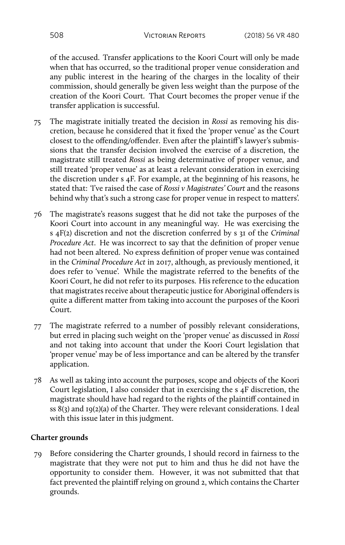of the accused. Transfer applications to the Koori Court will only be made when that has occurred, so the traditional proper venue consideration and any public interest in the hearing of the charges in the locality of their commission, should generally be given less weight than the purpose of the creation of the Koori Court. That Court becomes the proper venue if the transfer application is successful.

- 75 The magistrate initially treated the decision in *Rossi* as removing his discretion, because he considered that it fixed the 'proper venue' as the Court closest to the offending/offender. Even after the plaintiff's lawyer's submissions that the transfer decision involved the exercise of a discretion, the magistrate still treated *Rossi* as being determinative of proper venue, and still treated 'proper venue' as at least a relevant consideration in exercising the discretion under s 4F. For example, at the beginning of his reasons, he stated that: 'I've raised the case of *Rossi v Magistrates' Court* and the reasons behind why that's such a strong case for proper venue in respect to matters'.
- 76 The magistrate's reasons suggest that he did not take the purposes of the Koori Court into account in any meaningful way. He was exercising the s 4F(2) discretion and not the discretion conferred by s 31 of the *Criminal Procedure Act*. He was incorrect to say that the definition of proper venue had not been altered. No express definition of proper venue was contained in the *Criminal Procedure Act* in 2017, although, as previously mentioned, it does refer to 'venue'. While the magistrate referred to the benefits of the Koori Court, he did not refer to its purposes. His reference to the education that magistrates receive about therapeutic justice for Aboriginal offenders is quite a different matter from taking into account the purposes of the Koori Court.
- 77 The magistrate referred to a number of possibly relevant considerations, but erred in placing such weight on the 'proper venue' as discussed in *Rossi* and not taking into account that under the Koori Court legislation that 'proper venue' may be of less importance and can be altered by the transfer application.
- 78 As well as taking into account the purposes, scope and objects of the Koori Court legislation, I also consider that in exercising the s 4F discretion, the magistrate should have had regard to the rights of the plaintiff contained in ss 8(3) and 19(2)(a) of the Charter. They were relevant considerations. I deal with this issue later in this judgment.

## **Charter grounds**

79 Before considering the Charter grounds, I should record in fairness to the magistrate that they were not put to him and thus he did not have the opportunity to consider them. However, it was not submitted that that fact prevented the plaintiff relying on ground 2, which contains the Charter grounds.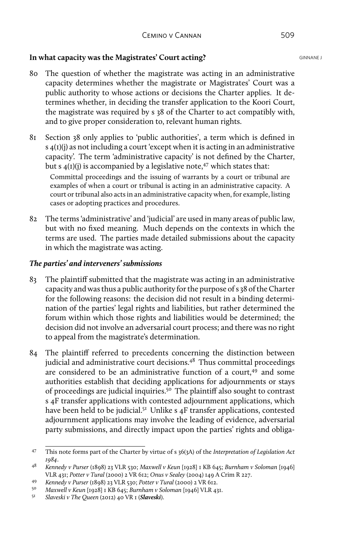## **In what capacity was the Magistrates' Court acting?** GINNANE J

- 80 The question of whether the magistrate was acting in an administrative capacity determines whether the magistrate or Magistrates' Court was a public authority to whose actions or decisions the Charter applies. It determines whether, in deciding the transfer application to the Koori Court, the magistrate was required by s 38 of the Charter to act compatibly with, and to give proper consideration to, relevant human rights.
- 81 Section 38 only applies to 'public authorities', a term which is defined in  $s$  4(1)(j) as not including a court 'except when it is acting in an administrative capacity'. The term 'administrative capacity' is not defined by the Charter, but s  $4(I)(i)$  is accompanied by a legislative note,<sup>47</sup> which states that: Committal proceedings and the issuing of warrants by a court or tribunal are examples of when a court or tribunal is acting in an administrative capacity. A court or tribunal also acts in an administrative capacity when, for example, listing cases or adopting practices and procedures.
- 82 The terms 'administrative' and 'judicial' are used in many areas of public law, but with no fixed meaning. Much depends on the contexts in which the terms are used. The parties made detailed submissions about the capacity in which the magistrate was acting.

## *The parties' and interveners' submissions*

- 83 The plaintiff submitted that the magistrate was acting in an administrative capacity and was thus a public authority for the purpose of s 38 of the Charter for the following reasons: the decision did not result in a binding determination of the parties' legal rights and liabilities, but rather determined the forum within which those rights and liabilities would be determined; the decision did not involve an adversarial court process; and there was no right to appeal from the magistrate's determination.
- 84 The plaintiff referred to precedents concerning the distinction between judicial and administrative court decisions.<sup>48</sup> Thus committal proceedings are considered to be an administrative function of a court, $49$  and some authorities establish that deciding applications for adjournments or stays of proceedings are judicial inquiries.50 The plaintiff also sought to contrast s 4F transfer applications with contested adjournment applications, which have been held to be judicial.<sup>51</sup> Unlike s  $4F$  transfer applications, contested adjournment applications may involve the leading of evidence, adversarial party submissions, and directly impact upon the parties' rights and obliga-

<sup>47</sup> This note forms part of the Charter by virtue of s 36(3A) of the *Interpretation of Legislation Act 1984*.

<sup>48</sup> *Kennedy v Purser* (1898) 23 VLR 530; *Maxwell v Keun* [1928] 1 KB 645; *Burnham v Soloman* [1946] VLR 431; *Potter v Tural* (2000) 2 VR 612; *Onus v Sealey* (2004) 149 A Crim R 227.

<sup>49</sup> *Kennedy v Purser* (1898) 23 VLR 530; *Potter v Tural* (2000) 2 VR 612.

<sup>50</sup> *Maxwell v Keun* [1928] 1 KB 645; *Burnham v Soloman* [1946] VLR 431.

<sup>51</sup> *Slaveski v The Queen* (2012) 40 VR 1 (*Slaveski*).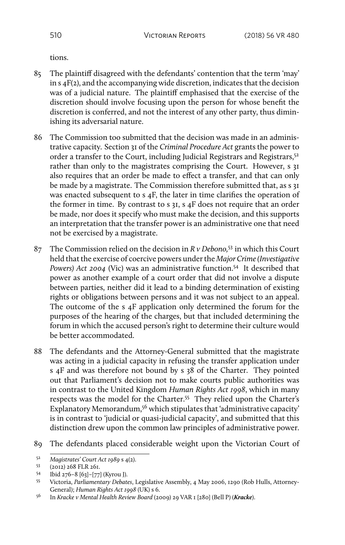tions.

- 85 The plaintiff disagreed with the defendants' contention that the term 'may' in s 4F(2), and the accompanying wide discretion, indicates that the decision was of a judicial nature. The plaintiff emphasised that the exercise of the discretion should involve focusing upon the person for whose benefit the discretion is conferred, and not the interest of any other party, thus diminishing its adversarial nature.
- 86 The Commission too submitted that the decision was made in an administrative capacity. Section 31 of the *Criminal Procedure Act* grants the power to order a transfer to the Court, including Judicial Registrars and Registrars,<sup>52</sup> rather than only to the magistrates comprising the Court. However, s 31 also requires that an order be made to effect a transfer, and that can only be made by a magistrate. The Commission therefore submitted that, as s 31 was enacted subsequent to s 4F, the later in time clarifies the operation of the former in time. By contrast to s 31, s 4F does not require that an order be made, nor does it specify who must make the decision, and this supports an interpretation that the transfer power is an administrative one that need not be exercised by a magistrate.
- 87 The Commission relied on the decision in *R v Debono,*53 in which this Court held that the exercise of coercive powers under the *Major Crime (Investigative Powers) Act 2004* (Vic) was an administrative function.54 It described that power as another example of a court order that did not involve a dispute between parties, neither did it lead to a binding determination of existing rights or obligations between persons and it was not subject to an appeal. The outcome of the s 4F application only determined the forum for the purposes of the hearing of the charges, but that included determining the forum in which the accused person's right to determine their culture would be better accommodated.
- 88 The defendants and the Attorney-General submitted that the magistrate was acting in a judicial capacity in refusing the transfer application under s 4F and was therefore not bound by s 38 of the Charter. They pointed out that Parliament's decision not to make courts public authorities was in contrast to the United Kingdom *Human Rights Act 1998*, which in many respects was the model for the Charter.<sup>55</sup> They relied upon the Charter's Explanatory Memorandum,<sup>56</sup> which stipulates that 'administrative capacity' is in contrast to 'judicial or quasi-judicial capacity', and submitted that this distinction drew upon the common law principles of administrative power.
- 89 The defendants placed considerable weight upon the Victorian Court of

<sup>52</sup> *Magistrates' Court Act 1989* s 4(2).

 $\frac{53}{54}$  (2012) 268 FLR 261.<br>54 Ibid 276-8 [62]-[77]

<sup>54</sup> Ibid 276–8 [63]–[77] (Kyrou J).

<sup>55</sup> Victoria, *Parliamentary Debates*, Legislative Assembly, 4 May 2006, 1290 (Rob Hulls, Attorney-General); *Human Rights Act 1998* (UK) s 6.

<sup>56</sup> In *Kracke v Mental Health Review Board* (2009) 29 VAR 1 [280] (Bell P) (*Kracke*).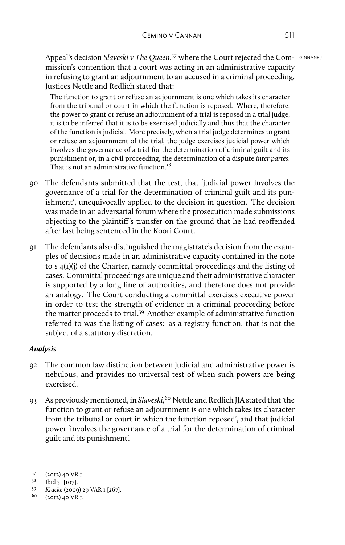Appeal's decision *Slaveski v The Queen*,<sup>57</sup> where the Court rejected the Com- GINNANE J mission's contention that a court was acting in an administrative capacity in refusing to grant an adjournment to an accused in a criminal proceeding. Justices Nettle and Redlich stated that:

The function to grant or refuse an adjournment is one which takes its character from the tribunal or court in which the function is reposed. Where, therefore, the power to grant or refuse an adjournment of a trial is reposed in a trial judge, it is to be inferred that it is to be exercised judicially and thus that the character of the function is judicial. More precisely, when a trial judge determines to grant or refuse an adjournment of the trial, the judge exercises judicial power which involves the governance of a trial for the determination of criminal guilt and its punishment or, in a civil proceeding, the determination of a dispute *inter partes*. That is not an administrative function.<sup>58</sup>

- 90 The defendants submitted that the test, that 'judicial power involves the governance of a trial for the determination of criminal guilt and its punishment', unequivocally applied to the decision in question. The decision was made in an adversarial forum where the prosecution made submissions objecting to the plaintiff's transfer on the ground that he had reoffended after last being sentenced in the Koori Court.
- 91 The defendants also distinguished the magistrate's decision from the examples of decisions made in an administrative capacity contained in the note to s 4(1)(j) of the Charter, namely committal proceedings and the listing of cases. Committal proceedings are unique and their administrative character is supported by a long line of authorities, and therefore does not provide an analogy. The Court conducting a committal exercises executive power in order to test the strength of evidence in a criminal proceeding before the matter proceeds to trial.<sup>59</sup> Another example of administrative function referred to was the listing of cases: as a registry function, that is not the subject of a statutory discretion.

## *Analysis*

- 92 The common law distinction between judicial and administrative power is nebulous, and provides no universal test of when such powers are being exercised.
- 93 As previously mentioned, in *Slaveski,*60 Nettle and Redlich JJA stated that 'the function to grant or refuse an adjournment is one which takes its character from the tribunal or court in which the function reposed', and that judicial power 'involves the governance of a trial for the determination of criminal guilt and its punishment'.

 $^{57}$  (2012) 40 VR I.<br> $^{58}$  Ibid 21 [107]

 $^{58}$  Ibid 31 [107].<br> *59 Kracke* (2000

<sup>59</sup> *Kracke* (2009) 29 VAR 1 [267].

<sup>60</sup> (2012) 40 VR 1.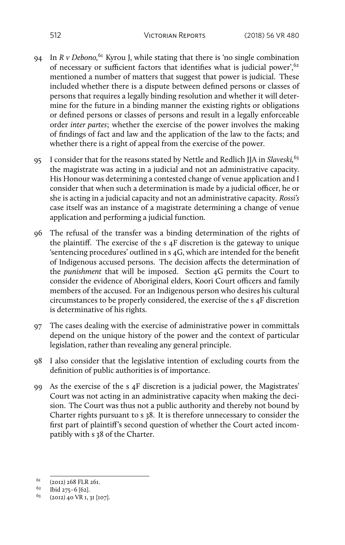- 94 In *R v Debono,*61 Kyrou J, while stating that there is 'no single combination of necessary or sufficient factors that identifies what is judicial power',62 mentioned a number of matters that suggest that power is judicial. These included whether there is a dispute between defined persons or classes of persons that requires a legally binding resolution and whether it will determine for the future in a binding manner the existing rights or obligations or defined persons or classes of persons and result in a legally enforceable order *inter partes*; whether the exercise of the power involves the making of findings of fact and law and the application of the law to the facts; and whether there is a right of appeal from the exercise of the power.
- 95 I consider that for the reasons stated by Nettle and Redlich JJA in *Slaveski,*63 the magistrate was acting in a judicial and not an administrative capacity. His Honour was determining a contested change of venue application and I consider that when such a determination is made by a judicial officer, he or she is acting in a judicial capacity and not an administrative capacity. *Rossi's* case itself was an instance of a magistrate determining a change of venue application and performing a judicial function.
- 96 The refusal of the transfer was a binding determination of the rights of the plaintiff. The exercise of the s 4F discretion is the gateway to unique 'sentencing procedures' outlined in s 4G, which are intended for the benefit of Indigenous accused persons. The decision affects the determination of the *punishment* that will be imposed. Section 4G permits the Court to consider the evidence of Aboriginal elders, Koori Court officers and family members of the accused. For an Indigenous person who desires his cultural circumstances to be properly considered, the exercise of the s 4F discretion is determinative of his rights.
- 97 The cases dealing with the exercise of administrative power in committals depend on the unique history of the power and the context of particular legislation, rather than revealing any general principle.
- 98 I also consider that the legislative intention of excluding courts from the definition of public authorities is of importance.
- 99 As the exercise of the s 4F discretion is a judicial power, the Magistrates' Court was not acting in an administrative capacity when making the decision. The Court was thus not a public authority and thereby not bound by Charter rights pursuant to s 38. It is therefore unnecessary to consider the first part of plaintiff's second question of whether the Court acted incompatibly with s 38 of the Charter.

 $^{61}$  (2012) 268 FLR 261.<br>  $^{62}$  Ibid 275-6 [62]

 $^{62}$  Ibid 275–6 [62].

<sup>(2012) 40</sup> VR 1, 31 [107].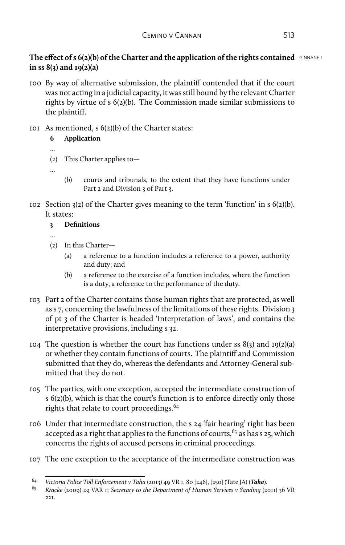# **The effect of s 6(2)(b) of the Charter and the application of the rights contained** GINNANE J **in ss 8(3) and 19(2)(a)**

- 100 By way of alternative submission, the plaintiff contended that if the court was not acting in a judicial capacity, it was still bound by the relevant Charter rights by virtue of s 6(2)(b). The Commission made similar submissions to the plaintiff.
- 101 As mentioned, s 6(2)(b) of the Charter states:

# **6 Application**

- ...
- (2) This Charter applies to—
- ...

...

- (b) courts and tribunals, to the extent that they have functions under Part 2 and Division 3 of Part 3.
- 102 Section  $3(2)$  of the Charter gives meaning to the term 'function' in s  $6(2)(b)$ . It states:

# **3 Definitions**

- (2) In this Charter—
	- (a) a reference to a function includes a reference to a power, authority and duty; and
	- (b) a reference to the exercise of a function includes, where the function is a duty, a reference to the performance of the duty.
- 103 Part 2 of the Charter contains those human rights that are protected, as well as s 7, concerning the lawfulness of the limitations of these rights. Division 3 of pt 3 of the Charter is headed 'Interpretation of laws', and contains the interpretative provisions, including s 32.
- 104 The question is whether the court has functions under ss  $8(3)$  and  $19(2)(a)$ or whether they contain functions of courts. The plaintiff and Commission submitted that they do, whereas the defendants and Attorney-General submitted that they do not.
- 105 The parties, with one exception, accepted the intermediate construction of s 6(2)(b), which is that the court's function is to enforce directly only those rights that relate to court proceedings.<sup>64</sup>
- 106 Under that intermediate construction, the s 24 'fair hearing' right has been accepted as a right that applies to the functions of courts,  $65$  as has s 25, which concerns the rights of accused persons in criminal proceedings.
- 107 The one exception to the acceptance of the intermediate construction was

<sup>64</sup> *Victoria Police Toll Enforcement v Taha* (2013) 49 VR 1, 80 [246], [250] (Tate JA) (*Taha*).

<sup>65</sup> *Kracke* (2009) 29 VAR 1; *Secretary to the Department of Human Services v Sanding* (2011) 36 VR 221.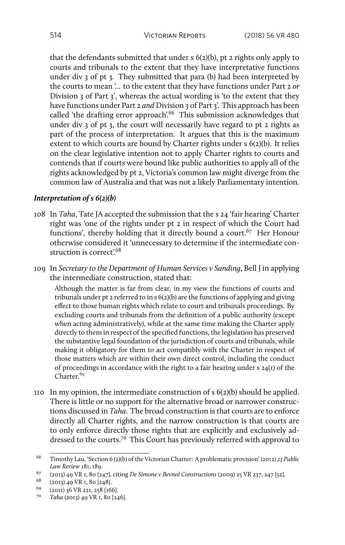that the defendants submitted that under s 6(2)(b), pt 2 rights only apply to courts and tribunals to the extent that they have interpretative functions under div 3 of pt 3. They submitted that para (b) had been interpreted by the courts to mean '... to the extent that they have functions under Part 2 *or* Division 3 of Part 3', whereas the actual wording is 'to the extent that they have functions under Part 2 *and* Division 3 of Part 3'. This approach has been called 'the drafting error approach'.<sup>66</sup> This submission acknowledges that under div 3 of pt 3, the court will necessarily have regard to pt 2 rights as part of the process of interpretation. It argues that this is the maximum extent to which courts are bound by Charter rights under s 6(2)(b). It relies on the clear legislative intention not to apply Charter rights to courts and contends that if courts were bound like public authorities to apply all of the rights acknowledged by pt 2, Victoria's common law might diverge from the common law of Australia and that was not a likely Parliamentary intention.

### *Interpretation of s 6(2)(b)*

- 108 In *Taha*, Tate JA accepted the submission that the s 24 'fair hearing' Charter right was 'one of the rights under pt 2 in respect of which the Court had functions', thereby holding that it directly bound a court.<sup>67</sup> Her Honour otherwise considered it 'unnecessary to determine if the intermediate construction is correct'.<sup>68</sup>
- 109 In *Secretary to the Department of Human Services v Sanding*, Bell J in applying the intermediate construction, stated that:

Although the matter is far from clear, in my view the functions of courts and tribunals under pt 2 referred to in s 6(2)(b) are the functions of applying and giving effect to those human rights which relate to court and tribunals proceedings. By excluding courts and tribunals from the definition of a public authority (except when acting administratively), while at the same time making the Charter apply directly to them in respect of the specified functions, the legislation has preserved the substantive legal foundation of the jurisdiction of courts and tribunals, while making it obligatory for them to act compatibly with the Charter in respect of those matters which are within their own direct control, including the conduct of proceedings in accordance with the right to a fair hearing under s 24(1) of the Charter.<sup>69</sup>

110 In my opinion, the intermediate construction of  $s$  6(2)(b) should be applied. There is little or no support for the alternative broad or narrower constructions discussed in *Taha*. The broad construction is that courts are to enforce directly all Charter rights, and the narrow construction is that courts are to only enforce directly those rights that are explicitly and exclusively addressed to the courts.<sup>70</sup> This Court has previously referred with approval to

<sup>66</sup> Timothy Lau, 'Section 6 (2)(b) of the Victorian Charter: A problematic provision' (2012) *23 Public Law Review* 181, 189.

<sup>67</sup> (2013) 49 VR 1, 80 [247], citing *De Simone v Bevnol Constructions* (2009) 25 VR 237, 247 [52].

 $^{68}$  (2013) 49 VR 1, 80 [248].

<sup>&</sup>lt;sup>69</sup> (2011) 36 VR 221, 258 [166].<br><sup>70</sup> Taha (2012) 40 VR J 80 [20]

<sup>70</sup> *Taha* (2013) 49 VR 1, 80 [246].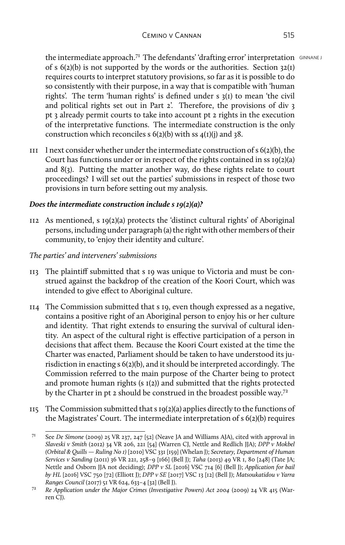the intermediate approach.<sup>71</sup> The defendants' 'drafting error' interpretation  $\frac{GINNANE}{S}$ of s  $6(2)(b)$  is not supported by the words or the authorities. Section 32(1) requires courts to interpret statutory provisions, so far as it is possible to do so consistently with their purpose, in a way that is compatible with 'human rights'. The term 'human rights' is defined under s 3(1) to mean 'the civil and political rights set out in Part 2'. Therefore, the provisions of div 3 pt 3 already permit courts to take into account pt 2 rights in the execution of the interpretative functions. The intermediate construction is the only construction which reconciles s  $6(2)(b)$  with ss  $4(1)(i)$  and 38.

 $111$  I next consider whether under the intermediate construction of s  $6(2)(b)$ , the Court has functions under or in respect of the rights contained in ss 19(2)(a) and 8(3). Putting the matter another way, do these rights relate to court proceedings? I will set out the parties' submissions in respect of those two provisions in turn before setting out my analysis.

## *Does the intermediate construction include s 19(2)(a)?*

112 As mentioned, s 19(2)(a) protects the 'distinct cultural rights' of Aboriginal persons, including under paragraph (a) the right with other members of their community, to 'enjoy their identity and culture'.

# *The parties' and interveners' submissions*

- 113 The plaintiff submitted that s 19 was unique to Victoria and must be construed against the backdrop of the creation of the Koori Court, which was intended to give effect to Aboriginal culture.
- 114 The Commission submitted that s 19, even though expressed as a negative, contains a positive right of an Aboriginal person to enjoy his or her culture and identity. That right extends to ensuring the survival of cultural identity. An aspect of the cultural right is effective participation of a person in decisions that affect them. Because the Koori Court existed at the time the Charter was enacted, Parliament should be taken to have understood its jurisdiction in enacting s 6(2)(b), and it should be interpreted accordingly. The Commission referred to the main purpose of the Charter being to protect and promote human rights (s  $I(2)$ ) and submitted that the rights protected by the Charter in pt 2 should be construed in the broadest possible way.<sup>72</sup>
- 115 The Commission submitted that s 19(2)(a) applies directly to the functions of the Magistrates' Court. The intermediate interpretation of s 6(2)(b) requires

<sup>71</sup> See *De Simone* (2009) 25 VR 237, 247 [52] (Neave JA and Williams AJA), cited with approval in *Slaveski v Smith* (2012) 34 VR 206, 221 [54] (Warren CJ, Nettle and Redlich JJA); *DPP v Mokbel (Orbital & Quills — Ruling No 1)* [2010] VSC 331 [159] (Whelan J); *Secretary, Department of Human Services v Sanding* (2011) 36 VR 221, 258–9 [166] (Bell J); *Taha* (2013) 49 VR 1, 80 [248] (Tate JA; Nettle and Osborn JJA not deciding); *DPP v SL* [2016] VSC 714 [6] (Bell J); *Application for bail by HL* [2016] VSC 750 [72] (Elliott J); *DPP v SE* [2017] VSC 13 [12] (Bell J); *Matsoukatidou v Yarra Ranges Council* (2017) 51 VR 624, 633–4 [32] (Bell J).

<sup>72</sup> *Re Application under the Major Crimes (Investigative Powers) Act 2004* (2009) 24 VR 415 (Warren CJ).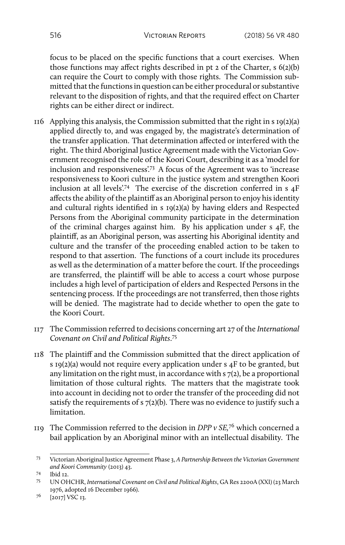focus to be placed on the specific functions that a court exercises. When those functions may affect rights described in pt 2 of the Charter, s 6(2)(b) can require the Court to comply with those rights. The Commission submitted that the functions in question can be either procedural or substantive relevant to the disposition of rights, and that the required effect on Charter rights can be either direct or indirect.

- 116 Applying this analysis, the Commission submitted that the right in s 19(2)(a) applied directly to, and was engaged by, the magistrate's determination of the transfer application. That determination affected or interfered with the right. The third Aboriginal Justice Agreement made with the Victorian Government recognised the role of the Koori Court, describing it as a 'model for inclusion and responsiveness'.73 A focus of the Agreement was to 'increase responsiveness to Koori culture in the justice system and strengthen Koori inclusion at all levels'.74 The exercise of the discretion conferred in s  $4F$ affects the ability of the plaintiff as an Aboriginal person to enjoy his identity and cultural rights identified in s 19(2)(a) by having elders and Respected Persons from the Aboriginal community participate in the determination of the criminal charges against him. By his application under s 4F, the plaintiff, as an Aboriginal person, was asserting his Aboriginal identity and culture and the transfer of the proceeding enabled action to be taken to respond to that assertion. The functions of a court include its procedures as well as the determination of a matter before the court. If the proceedings are transferred, the plaintiff will be able to access a court whose purpose includes a high level of participation of elders and Respected Persons in the sentencing process. If the proceedings are not transferred, then those rights will be denied. The magistrate had to decide whether to open the gate to the Koori Court.
- 117 The Commission referred to decisions concerning art 27 of the *International Covenant on Civil and Political Rights*. 75
- 118 The plaintiff and the Commission submitted that the direct application of s 19(2)(a) would not require every application under s 4F to be granted, but any limitation on the right must, in accordance with s 7(2), be a proportional limitation of those cultural rights. The matters that the magistrate took into account in deciding not to order the transfer of the proceeding did not satisfy the requirements of  $s$   $7(2)(b)$ . There was no evidence to justify such a limitation.
- 119 The Commission referred to the decision in *DPP v SE,*76 which concerned a bail application by an Aboriginal minor with an intellectual disability. The

<sup>73</sup> Victorian Aboriginal Justice Agreement Phase 3, *A Partnership Between the Victorian Government and Koori Community* (2013) 43.

<sup>74</sup> Ibid 12.

<sup>75</sup> UN OHCHR, *International Covenant on Civil and Political Rights*, GA Res 2200A (XXI) (23 March 1976, adopted 16 December 1966).

 $^{76}$  [2017] VSC 13.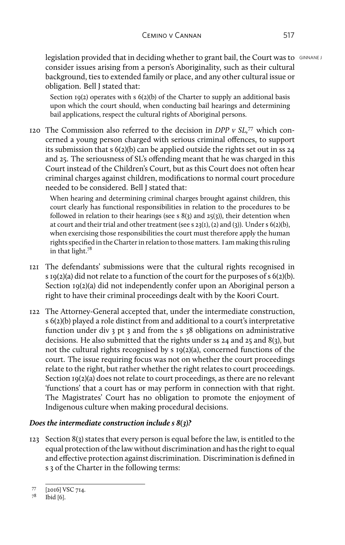legislation provided that in deciding whether to grant bail, the Court was to GINNANE J consider issues arising from a person's Aboriginality, such as their cultural background, ties to extended family or place, and any other cultural issue or obligation. Bell J stated that:

Section  $19(2)$  operates with s  $6(2)(b)$  of the Charter to supply an additional basis upon which the court should, when conducting bail hearings and determining bail applications, respect the cultural rights of Aboriginal persons.

120 The Commission also referred to the decision in *DPP v SL,*77 which concerned a young person charged with serious criminal offences, to support its submission that s 6(2)(b) can be applied outside the rights set out in ss 24 and 25. The seriousness of SL's offending meant that he was charged in this Court instead of the Children's Court, but as this Court does not often hear criminal charges against children, modifications to normal court procedure needed to be considered. Bell J stated that:

When hearing and determining criminal charges brought against children, this court clearly has functional responsibilities in relation to the procedures to be followed in relation to their hearings (see s  $8(3)$  and  $25(3)$ ), their detention when at court and their trial and other treatment (see s  $23(1)$ ,  $(2)$  and  $(3)$ ). Under s  $6(2)(b)$ , when exercising those responsibilities the court must therefore apply the human rights specified in the Charter in relation to those matters. I am making this ruling in that light.78

- 121 The defendants' submissions were that the cultural rights recognised in s 19(2)(a) did not relate to a function of the court for the purposes of  $s$  6(2)(b). Section 19(2)(a) did not independently confer upon an Aboriginal person a right to have their criminal proceedings dealt with by the Koori Court.
- 122 The Attorney-General accepted that, under the intermediate construction, s 6(2)(b) played a role distinct from and additional to a court's interpretative function under div 3 pt 3 and from the s 38 obligations on administrative decisions. He also submitted that the rights under ss 24 and 25 and 8(3), but not the cultural rights recognised by s 19(2)(a), concerned functions of the court. The issue requiring focus was not on whether the court proceedings relate to the right, but rather whether the right relates to court proceedings. Section 19(2)(a) does not relate to court proceedings, as there are no relevant 'functions' that a court has or may perform in connection with that right. The Magistrates' Court has no obligation to promote the enjoyment of Indigenous culture when making procedural decisions.

## *Does the intermediate construction include s 8(3)?*

123 Section 8(3) states that every person is equal before the law, is entitled to the equal protection of the law without discrimination and has the right to equal and effective protection against discrimination. Discrimination is defined in s 3 of the Charter in the following terms:

 $^{77}$  [2016] VSC 714.

Ibid [6].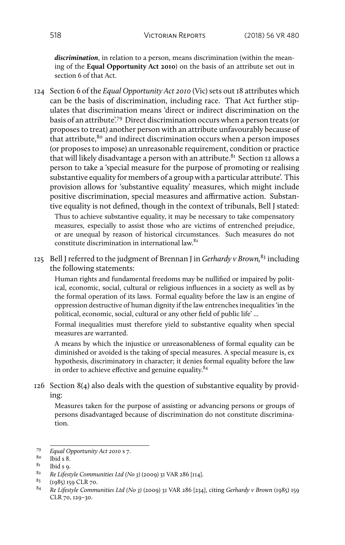*discrimination*, in relation to a person, means discrimination (within the meaning of the **Equal Opportunity Act 2010**) on the basis of an attribute set out in section 6 of that Act.

124 Section 6 of the *Equal Opportunity Act 2010* (Vic) sets out 18 attributes which can be the basis of discrimination, including race. That Act further stipulates that discrimination means 'direct or indirect discrimination on the basis of an attribute'.79 Direct discrimination occurs when a person treats (or proposes to treat) another person with an attribute unfavourably because of that attribute, $80$  and indirect discrimination occurs when a person imposes (or proposes to impose) an unreasonable requirement, condition or practice that will likely disadvantage a person with an attribute.<sup>81</sup> Section 12 allows a person to take a 'special measure for the purpose of promoting or realising substantive equality for members of a group with a particular attribute'. This provision allows for 'substantive equality' measures, which might include positive discrimination, special measures and affirmative action. Substantive equality is not defined, though in the context of tribunals, Bell J stated: Thus to achieve substantive equality, it may be necessary to take compensatory

measures, especially to assist those who are victims of entrenched prejudice, or are unequal by reason of historical circumstances. Such measures do not constitute discrimination in international law.<sup>82</sup>

125 Bell J referred to the judgment of Brennan J in *Gerhardy v Brown,*83 including the following statements:

Human rights and fundamental freedoms may be nullified or impaired by political, economic, social, cultural or religious influences in a society as well as by the formal operation of its laws. Formal equality before the law is an engine of oppression destructive of human dignity if the law entrenches inequalities 'in the political, economic, social, cultural or any other field of public life' ...

Formal inequalities must therefore yield to substantive equality when special measures are warranted.

A means by which the injustice or unreasonableness of formal equality can be diminished or avoided is the taking of special measures. A special measure is, ex hypothesis, discriminatory in character; it denies formal equality before the law in order to achieve effective and genuine equality.<sup>84</sup>

126 Section 8(4) also deals with the question of substantive equality by providing:

Measures taken for the purpose of assisting or advancing persons or groups of persons disadvantaged because of discrimination do not constitute discrimination.

<sup>79</sup> *Equal Opportunity Act 2010* s 7.

 $rac{80}{81}$  Ibid s 8.

 $\frac{81}{82}$  Ibid s 9.

<sup>&</sup>lt;sup>82</sup> *Re Lifestyle Communities Ltd (No 3)* (2009) 31 VAR 286 [114].<br><sup>83</sup> *(το Rε)* 150 Cl R 70

 $^{83}$  (1985) 159 CLR 70.<br> $^{84}$  Re Lifestyle Commi

<sup>84</sup> *Re Lifestyle Communities Ltd (No 3)* (2009) 31 VAR 286 [234], citing *Gerhardy v Brown* (1985) 159 CLR 70, 129–30.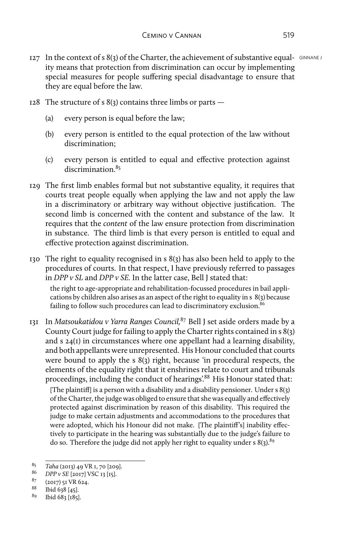- $127$  In the context of s 8(3) of the Charter, the achievement of substantive equal-  $GNANEL$ ity means that protection from discrimination can occur by implementing special measures for people suffering special disadvantage to ensure that they are equal before the law.
- 128 The structure of s  $8(3)$  contains three limbs or parts  $-$ 
	- (a) every person is equal before the law;
	- (b) every person is entitled to the equal protection of the law without discrimination;
	- (c) every person is entitled to equal and effective protection against discrimination.<sup>85</sup>
- 129 The first limb enables formal but not substantive equality, it requires that courts treat people equally when applying the law and not apply the law in a discriminatory or arbitrary way without objective justification. The second limb is concerned with the content and substance of the law. It requires that the *content* of the law ensure protection from discrimination in substance. The third limb is that every person is entitled to equal and effective protection against discrimination.
- 130 The right to equality recognised in s 8(3) has also been held to apply to the procedures of courts. In that respect, I have previously referred to passages in *DPP v SL* and *DPP v SE.* In the latter case, Bell J stated that:

the right to age-appropriate and rehabilitation-focussed procedures in bail applications by children also arises as an aspect of the right to equality in s 8(3) because failing to follow such procedures can lead to discriminatory exclusion.<sup>86</sup>

131 In *Matsoukatidou v Yarra Ranges Council,*87 Bell J set aside orders made by a County Court judge for failing to apply the Charter rights contained in s 8(3) and s 24(1) in circumstances where one appellant had a learning disability, and both appellants were unrepresented. His Honour concluded that courts were bound to apply the s 8(3) right, because 'in procedural respects, the elements of the equality right that it enshrines relate to court and tribunals proceedings, including the conduct of hearings'.88 His Honour stated that:

[The plaintiff] is a person with a disability and a disability pensioner. Under  $s \& (3)$ ] of the Charter, the judge was obliged to ensure that she was equally and effectively protected against discrimination by reason of this disability. This required the judge to make certain adjustments and accommodations to the procedures that were adopted, which his Honour did not make. [The plaintiff's] inability effectively to participate in the hearing was substantially due to the judge's failure to do so. Therefore the judge did not apply her right to equality under s  $8(3)$ .<sup>89</sup>

<sup>85</sup> *Taha* (2013) 49 VR 1, 70 [209].

<sup>86</sup> *DPP v SE* [2017] VSC 13 [15].

 $\frac{87}{88}$  (2017) 51 VR 624.

 $\frac{88}{9}$  Ibid 638 [45].

<sup>89</sup> Ibid 683 [185].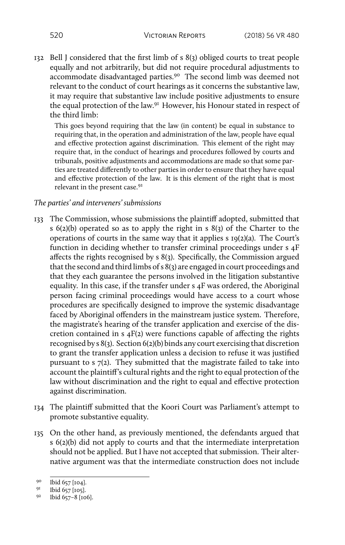132 Bell J considered that the first limb of s 8(3) obliged courts to treat people equally and not arbitrarily, but did not require procedural adjustments to accommodate disadvantaged parties.90 The second limb was deemed not relevant to the conduct of court hearings as it concerns the substantive law, it may require that substantive law include positive adjustments to ensure the equal protection of the law.91 However, his Honour stated in respect of the third limb:

This goes beyond requiring that the law (in content) be equal in substance to requiring that, in the operation and administration of the law, people have equal and effective protection against discrimination. This element of the right may require that, in the conduct of hearings and procedures followed by courts and tribunals, positive adjustments and accommodations are made so that some parties are treated differently to other parties in order to ensure that they have equal and effective protection of the law. It is this element of the right that is most relevant in the present case.<sup>92</sup>

### *The parties' and interveners' submissions*

- 133 The Commission, whose submissions the plaintiff adopted, submitted that s 6(2)(b) operated so as to apply the right in s 8(3) of the Charter to the operations of courts in the same way that it applies s 19(2)(a). The Court's function in deciding whether to transfer criminal proceedings under s 4F affects the rights recognised by s 8(3). Specifically, the Commission argued that the second and third limbs of s 8(3) are engaged in court proceedings and that they each guarantee the persons involved in the litigation substantive equality. In this case, if the transfer under s 4F was ordered, the Aboriginal person facing criminal proceedings would have access to a court whose procedures are specifically designed to improve the systemic disadvantage faced by Aboriginal offenders in the mainstream justice system. Therefore, the magistrate's hearing of the transfer application and exercise of the discretion contained in s 4F(2) were functions capable of affecting the rights recognised by s 8(3). Section 6(2)(b) binds any court exercising that discretion to grant the transfer application unless a decision to refuse it was justified pursuant to s 7(2). They submitted that the magistrate failed to take into account the plaintiff's cultural rights and the right to equal protection of the law without discrimination and the right to equal and effective protection against discrimination.
- 134 The plaintiff submitted that the Koori Court was Parliament's attempt to promote substantive equality.
- 135 On the other hand, as previously mentioned, the defendants argued that s 6(2)(b) did not apply to courts and that the intermediate interpretation should not be applied. But I have not accepted that submission. Their alternative argument was that the intermediate construction does not include

 $^{90}$  Ibid 657 [104].

Ibid 657 [105].

<sup>92</sup> Ibid 657–8 [106].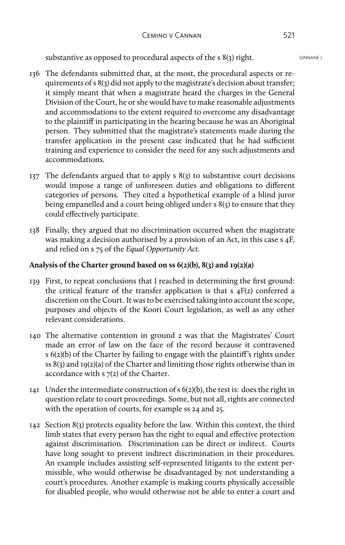substantive as opposed to procedural aspects of the s  $8(3)$  right.

- 136 The defendants submitted that, at the most, the procedural aspects or requirements of s 8(3) did not apply to the magistrate's decision about transfer; it simply meant that when a magistrate heard the charges in the General Division of the Court, he or she would have to make reasonable adjustments and accommodations to the extent required to overcome any disadvantage to the plaintiff in participating in the hearing because he was an Aboriginal person. They submitted that the magistrate's statements made during the transfer application in the present case indicated that he had sufficient training and experience to consider the need for any such adjustments and accommodations.
- 137 The defendants argued that to apply s 8(3) to substantive court decisions would impose a range of unforeseen duties and obligations to different categories of persons. They cited a hypothetical example of a blind juror being empanelled and a court being obliged under s 8(3) to ensure that they could effectively participate.
- 138 Finally, they argued that no discrimination occurred when the magistrate was making a decision authorised by a provision of an Act, in this case s 4F, and relied on s 75 of the *Equal Opportunity Act.*

## **Analysis of the Charter ground based on ss 6(2)(b), 8(3) and 19(2)(a)**

- 139 First, to repeat conclusions that I reached in determining the first ground: the critical feature of the transfer application is that  $s$   $4F(2)$  conferred a discretion on the Court. It was to be exercised taking into account the scope, purposes and objects of the Koori Court legislation, as well as any other relevant considerations.
- 140 The alternative contention in ground 2 was that the Magistrates' Court made an error of law on the face of the record because it contravened s 6(2)(b) of the Charter by failing to engage with the plaintiff's rights under ss 8(3) and 19(2)(a) of the Charter and limiting those rights otherwise than in accordance with s 7(2) of the Charter.
- 141 Under the intermediate construction of  $s(2)(b)$ , the test is: does the right in question relate to court proceedings. Some, but not all, rights are connected with the operation of courts, for example ss 24 and 25.
- 142 Section 8(3) protects equality before the law. Within this context, the third limb states that every person has the right to equal and effective protection against discrimination. Discrimination can be direct or indirect. Courts have long sought to prevent indirect discrimination in their procedures. An example includes assisting self-represented litigants to the extent permissible, who would otherwise be disadvantaged by not understanding a court's procedures. Another example is making courts physically accessible for disabled people, who would otherwise not be able to enter a court and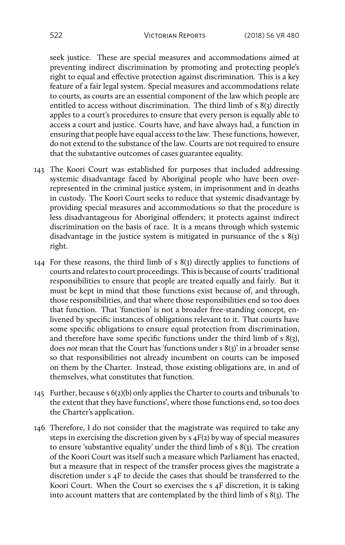seek justice. These are special measures and accommodations aimed at preventing indirect discrimination by promoting and protecting people's right to equal and effective protection against discrimination. This is a key feature of a fair legal system. Special measures and accommodations relate to courts, as courts are an essential component of the law which people are entitled to access without discrimination. The third limb of s  $8(3)$  directly apples to a court's procedures to ensure that every person is equally able to access a court and justice. Courts have, and have always had, a function in ensuring that people have equal access to the law. These functions, however, do not extend to the substance of the law. Courts are not required to ensure that the substantive outcomes of cases guarantee equality.

- 143 The Koori Court was established for purposes that included addressing systemic disadvantage faced by Aboriginal people who have been overrepresented in the criminal justice system, in imprisonment and in deaths in custody. The Koori Court seeks to reduce that systemic disadvantage by providing special measures and accommodations so that the procedure is less disadvantageous for Aboriginal offenders; it protects against indirect discrimination on the basis of race. It is a means through which systemic disadvantage in the justice system is mitigated in pursuance of the s 8(3) right.
- 144 For these reasons, the third limb of s 8(3) directly applies to functions of courts and relates to court proceedings. This is because of courts' traditional responsibilities to ensure that people are treated equally and fairly. But it must be kept in mind that those functions exist because of, and through, those responsibilities, and that where those responsibilities end so too does that function. That 'function' is not a broader free-standing concept, enlivened by specific instances of obligations relevant to it. That courts have some specific obligations to ensure equal protection from discrimination, and therefore have some specific functions under the third limb of s 8(3), does *not* mean that the Court has 'functions under s 8(3)' in a broader sense so that responsibilities not already incumbent on courts can be imposed on them by the Charter. Instead, those existing obligations are, in and of themselves, what constitutes that function.
- 145 Further, because s 6(2)(b) only applies the Charter to courts and tribunals 'to the extent that they have functions', where those functions end, so too does the Charter's application.
- 146 Therefore, I do not consider that the magistrate was required to take any steps in exercising the discretion given by s 4F(2) by way of special measures to ensure 'substantive equality' under the third limb of s  $8(3)$ . The creation of the Koori Court was itself such a measure which Parliament has enacted, but a measure that in respect of the transfer process gives the magistrate a discretion under s 4F to decide the cases that should be transferred to the Koori Court. When the Court so exercises the s 4F discretion, it is taking into account matters that are contemplated by the third limb of s 8(3). The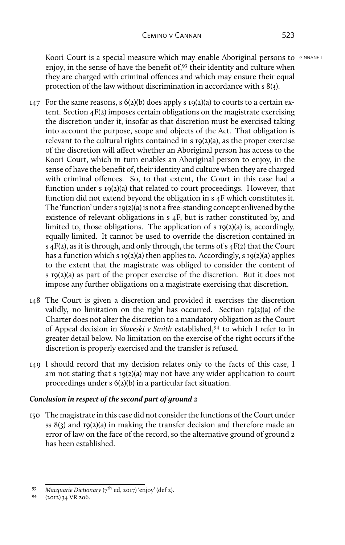Koori Court is a special measure which may enable Aboriginal persons to GINNANE J enjoy, in the sense of have the benefit of,<sup>93</sup> their identity and culture when they are charged with criminal offences and which may ensure their equal protection of the law without discrimination in accordance with s 8(3).

- 147 For the same reasons,  $s$  6(2)(b) does apply s 19(2)(a) to courts to a certain extent. Section 4F(2) imposes certain obligations on the magistrate exercising the discretion under it, insofar as that discretion must be exercised taking into account the purpose, scope and objects of the Act. That obligation is relevant to the cultural rights contained in s 19(2)(a), as the proper exercise of the discretion will affect whether an Aboriginal person has access to the Koori Court, which in turn enables an Aboriginal person to enjoy, in the sense of have the benefit of, their identity and culture when they are charged with criminal offences. So, to that extent, the Court in this case had a function under s 19(2)(a) that related to court proceedings. However, that function did not extend beyond the obligation in s 4F which constitutes it. The 'function' under s 19(2)(a) is not a free-standing concept enlivened by the existence of relevant obligations in s 4F, but is rather constituted by, and limited to, those obligations. The application of s 19(2)(a) is, accordingly, equally limited. It cannot be used to override the discretion contained in s  $4F(2)$ , as it is through, and only through, the terms of s  $4F(2)$  that the Court has a function which s  $I_9(2)(a)$  then applies to. Accordingly, s  $I_9(2)(a)$  applies to the extent that the magistrate was obliged to consider the content of s 19(2)(a) as part of the proper exercise of the discretion. But it does not impose any further obligations on a magistrate exercising that discretion.
- 148 The Court is given a discretion and provided it exercises the discretion validly, no limitation on the right has occurred. Section 19(2)(a) of the Charter does not alter the discretion to a mandatory obligation as the Court of Appeal decision in *Slaveski v Smith* established,94 to which I refer to in greater detail below. No limitation on the exercise of the right occurs if the discretion is properly exercised and the transfer is refused.
- 149 I should record that my decision relates only to the facts of this case, I am not stating that s 19(2)(a) may not have any wider application to court proceedings under s 6(2)(b) in a particular fact situation.

## *Conclusion in respect of the second part of ground 2*

150 The magistrate in this case did not consider the functions of the Court under ss 8(3) and 19(2)(a) in making the transfer decision and therefore made an error of law on the face of the record, so the alternative ground of ground 2 has been established.

<sup>93</sup> *Macquarie Dictionary* (7th ed, 2017) 'enjoy' (def 2).

<sup>94</sup> (2012) 34 VR 206.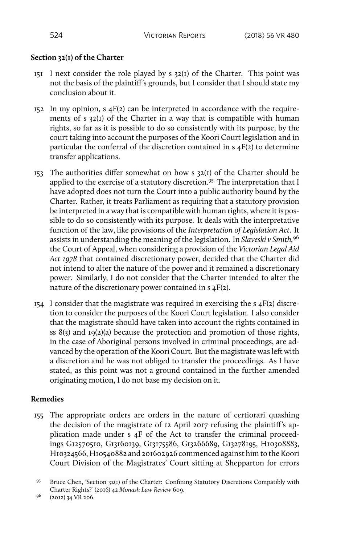# **Section 32(1) of the Charter**

- $151$  I next consider the role played by s  $32(i)$  of the Charter. This point was not the basis of the plaintiff's grounds, but I consider that I should state my conclusion about it.
- $152$  In my opinion, s  $4F(2)$  can be interpreted in accordance with the requirements of s 32(1) of the Charter in a way that is compatible with human rights, so far as it is possible to do so consistently with its purpose, by the court taking into account the purposes of the Koori Court legislation and in particular the conferral of the discretion contained in  $s$   $4F(z)$  to determine transfer applications.
- 153 The authorities differ somewhat on how  $s$  32(1) of the Charter should be applied to the exercise of a statutory discretion.<sup>95</sup> The interpretation that I have adopted does not turn the Court into a public authority bound by the Charter. Rather, it treats Parliament as requiring that a statutory provision be interpreted in a way that is compatible with human rights, where it is possible to do so consistently with its purpose. It deals with the interpretative function of the law, like provisions of the *Interpretation of Legislation Act*. It assists in understanding the meaning of the legislation. In *Slaveski v Smith,*96 the Court of Appeal, when considering a provision of the *Victorian Legal Aid Act 1978* that contained discretionary power, decided that the Charter did not intend to alter the nature of the power and it remained a discretionary power. Similarly, I do not consider that the Charter intended to alter the nature of the discretionary power contained in s 4F(2).
- 154 I consider that the magistrate was required in exercising the  $s$  4F(2) discretion to consider the purposes of the Koori Court legislation. I also consider that the magistrate should have taken into account the rights contained in ss  $8(3)$  and  $19(2)(a)$  because the protection and promotion of those rights, in the case of Aboriginal persons involved in criminal proceedings, are advanced by the operation of the Koori Court. But the magistrate was left with a discretion and he was not obliged to transfer the proceedings. As I have stated, as this point was not a ground contained in the further amended originating motion, I do not base my decision on it.

## **Remedies**

155 The appropriate orders are orders in the nature of certiorari quashing the decision of the magistrate of 12 April 2017 refusing the plaintiff's application made under s 4F of the Act to transfer the criminal proceedings G12570510, G13160139, G13175586, G13266689, G13278195, H10308883, H10324566, H10540882 and 201602926 commenced against him to the Koori Court Division of the Magistrates' Court sitting at Shepparton for errors

<sup>&</sup>lt;sup>95</sup> Bruce Chen, 'Section 32(1) of the Charter: Confining Statutory Discretions Compatibly with Charter Rights?' (2016) 42 *Monash Law Review* 609.

 $9^6$  (2012) 34 VR 206.